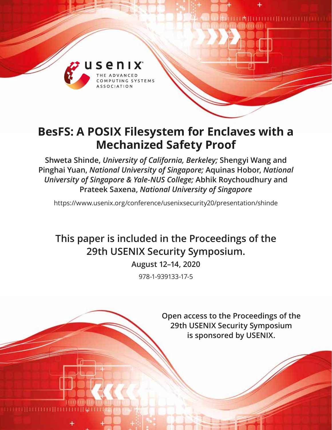

# **BesFS: A POSIX Filesystem for Enclaves with a Mechanized Safety Proof**

**Shweta Shinde,** *University of California, Berkeley;* **Shengyi Wang and Pinghai Yuan,** *National University of Singapore;* **Aquinas Hobor,** *National University of Singapore & Yale-NUS College;* **Abhik Roychoudhury and Prateek Saxena,** *National University of Singapore*

https://www.usenix.org/conference/usenixsecurity20/presentation/shinde

# **This paper is included in the Proceedings of the 29th USENIX Security Symposium.**

**August 12–14, 2020**

978-1-939133-17-5

**Open access to the Proceedings of the 29th USENIX Security Symposium is sponsored by USENIX.**

**TIM HIIIIIIIIIIIIIIIIIIIIIIIII**IIIIIII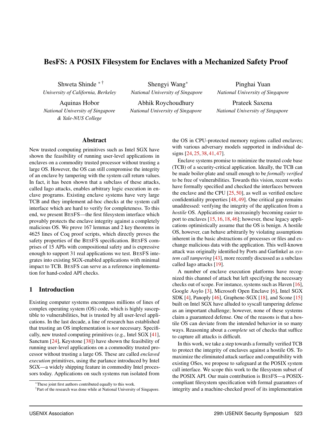# BesFS: A POSIX Filesystem for Enclaves with a Mechanized Safety Proof

Shweta Shinde <sup>∗</sup> † *University of California, Berkeley*

Aquinas Hobor *National University of Singapore & Yale-NUS College*

Shengyi Wang<sup>∗</sup> *National University of Singapore*

Abhik Roychoudhury *National University of Singapore*

Pinghai Yuan *National University of Singapore*

Prateek Saxena *National University of Singapore*

#### Abstract

New trusted computing primitives such as Intel SGX have shown the feasibility of running user-level applications in enclaves on a commodity trusted processor without trusting a large OS. However, the OS can still compromise the integrity of an enclave by tampering with the system call return values. In fact, it has been shown that a subclass of these attacks, called Iago attacks, enables arbitrary logic execution in enclave programs. Existing enclave systems have very large TCB and they implement ad-hoc checks at the system call interface which are hard to verify for completeness. To this end, we present BESFS—the first filesystem interface which provably protects the enclave integrity against a completely malicious OS. We prove 167 lemmas and 2 key theorems in 4625 lines of Coq proof scripts, which directly proves the safety properties of the BESFS specification. BESFS comprises of 15 APIs with compositional safety and is expressive enough to support 31 real applications we test. BESFS integrates into existing SGX-enabled applications with minimal impact to TCB. BESFS can serve as a reference implementation for hand-coded API checks.

#### 1 Introduction

Existing computer systems encompass millions of lines of complex operating system (OS) code, which is highly susceptible to vulnerabilities, but is trusted by all user-level applications. In the last decade, a line of research has established that trusting an OS implementation is *not* necessary. Specifically, new trusted computing primitives (e.g., Intel SGX [\[41\]](#page-18-0), Sanctum [\[24\]](#page-18-1), Keystone [\[38\]](#page-18-2)) have shown the feasibility of running user-level applications on a commodity trusted processor without trusting a large OS. These are called *enclaved execution* primitives, using the parlance introduced by Intel SGX—a widely shipping feature in commodity Intel processors today. Applications on such systems run isolated from

the OS in CPU-protected memory regions called enclaves; with various adversary models supported in individual designs [\[24,](#page-18-1) [25,](#page-18-3) [38,](#page-18-2) [41,](#page-18-0) [47\]](#page-18-4).

Enclave systems promise to minimize the trusted code base (TCB) of a security-critical application. Ideally, the TCB can be made boiler-plate and small enough to be *formally verified* to be free of vulnerabilities. Towards this vision, recent works have formally specified and checked the interfaces between the enclave and the CPU  $[25, 50]$  $[25, 50]$  $[25, 50]$ , as well as verified enclave confidentiality properties [\[48,](#page-18-6) [49\]](#page-18-7). One critical gap remains unaddressed: verifying the integrity of the application from a *hostile* OS. Applications are increasingly becoming easier to port to enclaves [\[15,](#page-17-0) [16,](#page-17-1) [18,](#page-18-8) [46\]](#page-18-9); however, these legacy applications optimistically assume that the OS is benign. A hostile OS, however, can behave arbitrarily by violating assumptions inherent in the basic abstractions of processes or files and exchange malicious data with the application. This well-known attack was originally identified by Ports and Garfinkel as *system call tampering* [\[43\]](#page-18-10), more recently discussed as a subclass called Iago attacks [\[19\]](#page-18-11).

A number of enclave execution platforms have recognized this channel of attack but left specifying the necessary checks out of scope. For instance, systems such as Haven [\[16\]](#page-17-1), Google Asylo [\[3\]](#page-17-2), Microsoft Open Enclave [\[6\]](#page-17-3), Intel SGX SDK [\[4\]](#page-17-4), Panoply [\[46\]](#page-18-9), Graphene-SGX [\[18\]](#page-18-8), and Scone [\[15\]](#page-17-0) built on Intel SGX have alluded to syscall tampering defense as an important challenge; however, none of these systems claim a guaranteed defense. One of the reasons is that a hostile OS can deviate from the intended behavior in so many ways. Reasoning about a *complete* set of checks that suffice to capture all attacks is difficult.

In this work, we take a step towards a formally verified TCB to protect the integrity of enclaves against a hostile OS. To maximize the eliminated attack surface and compatibility with existing OSes, we propose to safeguard at the POSIX system call interface. We scope this work to the filesystem subset of the POSIX API. Our main contribution is BESFS—a POSIXcompliant filesystem specification with formal guarantees of integrity and a machine-checked proof of its implementation

<sup>∗</sup>These joint first authors contributed equally to this work.

<sup>†</sup>Part of the research was done while at National University of Singapore.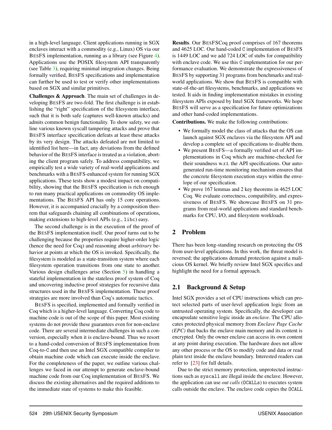in a high-level language. Client applications running in SGX enclaves interact with a commodity (e.g., Linux) OS via our BESFS implementation, running as a library (see Figure [4\)](#page-9-0). Applications use the POSIX filesystem API transparently (see Table [3\)](#page-8-0), requiring minimal integration changes. Being formally verified, BESFS specifications and implementation can further be used to test or verify other implementations based on SGX and similar primitives.

Challenges & Approach. The main set of challenges in developing BESFS are two-fold. The first challenge is in establishing the "right" specification of the filesystem interface, such that it is both safe (captures well-known attacks) and admits common benign functionality. To show safety, we outline various known syscall tampering attacks and prove that BESFS interface specification defeats at least these attacks by its very design. The attacks defeated are not limited to identified list here—in fact, any deviations from the defined behavior of the BESFS interface is treated as a violation, aborting the client program safely. To address compatibility, we empirically test a wide variety of real-world applications and benchmarks with a BESFS-enhanced system for running SGX applications. These tests show a modest impact on compatibility, showing that the BESFS specification is rich enough to run many practical applications on commodity OS implementations. The BESFS API has only 15 core operations. However, it is accompanied crucially by a composition theorem that safeguards chaining all combinations of operations, making extensions to high-level APIs (e.g., libc) easy.

The second challenge is in the execution of the proof of the BESFS implementation itself. Our proof turns out to be challenging because the properties require higher-order logic (hence the need for Coq) and reasoning about *arbitrary* behavior at points at which the OS is invoked. Specifically, the filesystem is modeled as a state-transition system where each filesystem operation transitions from one state to another. Various design challenges arise (Section [5\)](#page-10-0) in handling a stateful implementation in the stateless proof system of Coq and uncovering inductive proof strategies for recursive data structures used in the BESFS implementation. These proof strategies are more involved than Coq's automatic tactics.

BESFS is specified, implemented and formally verified in Coq which is a higher-level language. Converting Coq code to machine code is out of the scope of this paper. Most existing systems do not provide these guarantees even for non-enclave code. There are several intermediate challenges in such a conversion, especially when it is enclave-bound. Thus we resort to a hand-coded conversion of BESFS implementation from Coq-to-C and then use an Intel SGX compatible compiler to obtain machine code which can execute inside the enclave. For the completeness of the paper, we outline various challenges we faced in our attempt to generate enclave-bound machine code from our Coq implementation of BESFS. We discuss the existing alternatives and the required additions to the immediate state of systems to make this feasible.

Results. Our BESFSCoq proof comprises of 167 theorems and 4625 LOC. Our hand-coded C implementation of BESFS is 1449 LOC and we add 724 LOC of stubs for compatibility with enclave code. We use this C implementation for our performance evaluation. We demonstrate the expressiveness of BESFS by supporting 31 programs from benchmarks and realworld applications. We show that BESFS is compatible with state-of-the-art filesystems, benchmarks, and applications we tested. It aids in finding implementation mistakes in existing filesystem APIs exposed by Intel SGX frameworks. We hope BESFS will serve as a specification for future optimizations and other hand-coded implementations.

Contributions. We make the following contributions:

- We formally model the class of attacks that the OS can launch against SGX enclaves via the filesystem API and develop a complete set of specifications to disable them.
- We present BESFS—a formally verified set of API implementations in Coq which are machine-checked for their soundness w.r.t. the API specifications. Our autogenerated run-time monitoring mechanism ensures that the concrete filesystem execution stays within the envelope of our specification.
- We prove 167 lemmas and 2 key theorems in 4625 LOC Coq. We evaluate correctness, compatibility, and expressiveness of BESFS. We showcase BESFS on 31 programs from real-world applications and standard benchmarks for CPU, I/O, and filesystem workloads.

#### 2 Problem

There has been long-standing research on protecting the OS from user-level applications. In this work, the threat model is reversed; the applications demand protection against a malicious OS kernel. We briefly review Intel SGX specifics and highlight the need for a formal approach.

#### 2.1 Background & Setup

Intel SGX provides a set of CPU instructions which can protect selected parts of user-level application logic from an untrusted operating system. Specifically, the developer can encapsulate sensitive logic inside an *enclave*. The CPU allocates protected physical memory from *Enclave Page Cache (EPC)* that backs the enclave main memory and its content is encrypted. Only the owner enclave can access its own content at any point during execution. The hardware does not allow any other process or the OS to modify code and data or read plain text inside the enclave boundary. Interested readers can refer to [\[23\]](#page-18-12) for full details.

Due to the strict memory protection, unprotected instructions such as syscall are illegal inside the enclave. However, the application can use *out calls* (OCALLs) to executes system calls outside the enclave. The enclave code copies the OCALL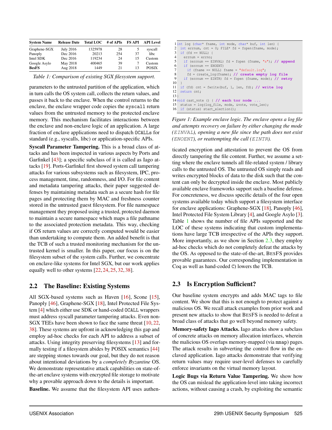<span id="page-3-0"></span>

| <b>System Name</b> | <b>Release Date</b> | <b>Total LOC</b> | # of APIs | <b>FS API</b> | <b>API</b> Level |
|--------------------|---------------------|------------------|-----------|---------------|------------------|
| Graphene-SGX       | <b>July 2016</b>    | 1325978          | 28        | 5             | syscall          |
| Panoply            | Dec 2016            | 20213            | 254       | 37            | libc             |
| Intel SDK          | Dec 2016            | 119234           | 24        | 15            | Custom           |
| Google Asylo       | May 2018            | 400465           | 39        | 7             | Custom           |
| <b>BesFS</b>       | Aug 2018            | 1449             | 21        | 13            | <b>POSIX</b>     |

*Table 1: Comparison of existing SGX filesystem support.*

parameters to the untrusted partition of the application, which in turn calls the OS system call, collects the return values, and passes it back to the enclave. When the control returns to the enclave, the enclave wrapper code copies the syscall return values from the untrusted memory to the protected enclave memory. This mechanism facilitates interactions between the enclave and non-enclave logic of an application. A large fraction of enclave applications need to dispatch OCALLs for standard (e.g., syscalls, libc) or application-specific APIs.

Syscall Parameter Tampering. This is a broad class of attacks and has been inspected in various aspects by Ports and Garfinkel [\[43\]](#page-18-10); a specific subclass of it is called as Iago attacks [\[19\]](#page-18-11). Ports-Garfinkel first showed system call tampering attacks for various subsystems such as filesystem, IPC, process management, time, randomness, and I/O. For file content and metadata tampering attacks, their paper suggested defenses by maintaining metadata such as a secure hash for file pages and protecting them by MAC and freshness counter stored in the untrusted guest filesystem. For file namespace management they proposed using a trusted, protected daemon to maintain a secure namespace which maps a file pathname to the associated protection metadata. This way, checking if OS return values are correctly computed would be easier than undertaking to compute them. An added benefit is that the TCB of such a trusted monitoring mechanism for the untrusted kernel is smaller. In this paper, our focus is on the filesystem subset of the system calls. Further, we concentrate on enclave-like systems for Intel SGX, but our work applies equally well to other systems [\[22,](#page-18-13) [24,](#page-18-1) [25,](#page-18-3) [32,](#page-18-14) [38\]](#page-18-2).

#### <span id="page-3-3"></span>2.2 The Baseline: Existing Systems

All SGX-based systems such as Haven [\[16\]](#page-17-1), Scone [\[15\]](#page-17-0), Panoply [\[46\]](#page-18-9), Graphene-SGX [\[18\]](#page-18-8), Intel Protected File System [\[4\]](#page-17-4) which either use SDK or hand-coded OCALL wrappers must address syscall parameter tampering attacks. Even non-SGX TEEs have been shown to face the same threat [\[10,](#page-17-5) [22,](#page-18-13) [38\]](#page-18-2). These systems are upfront in acknowledging this gap and employ ad-hoc checks for each API to address a subset of attacks. Using integrity preserving filesystems [\[13\]](#page-17-6) and formally testing if a filesystem abides by POSIX semantics [\[44\]](#page-18-15) are stepping stones towards our goal, but they do not reason about intentional deviations by a *completely Byzantine* OS. We demonstrate representative attack capabilities on state-ofthe-art enclave systems with encrypted file storage to motivate why a provable approach down to the details is important.

Baseline. We assume that the filesystem API uses authen-

```
1 int log (char* fname, int mode, char* buf, int len) {
2 int errnum, cnt = 0; FILE* fd = fopen(fname, mode);<br>3 if (fd == NULL) {
   if (fd == NULL)4 errnum = errno;<br>5 if (errnum == E
      5 if (errnum == EINVAL) fd = fopen (fname, "a"); // append
6 if (errnum == ENOENT)
7 if (fname == NULL) fname = "default.log";<br>8 fd = create log(fname); // create empty
8 fd = create_log(fname); // create empty log file
      9 if (errnum == EINTR) fd = fopen (fname, mode); // retry
\begin{array}{c} 10 \\ 11 \end{array}11 if (fd) cnt = fwrite(buf, 1, len, fd); // write log
   return cnt;
13 }
14 void cast_vote () { // each tor node ...
15 status = log(log_file, mode, &vote, vote_len);
16 if (status) start election();
```
*Figure 1: Example enclave logic. The enclave opens a log file and attempts recovery on failure by either changing the mode (*EINVAL*), opening a new file since the path does not exist (*ENOENT*), or reattempting the call (*EINTR*).*

ticated encryption and attestation to prevent the OS from directly tampering the file content. Further, we assume a setting where the enclave tunnels all file-related system / library calls to the untrusted OS. The untrusted OS simply reads and writes encrypted blocks of data to the disk such that the content can only be decrypted inside the enclave. Most publicly available enclave frameworks support such a baseline defense. For concreteness, we discuss specific details of the four open systems available today which support a filesystem interface for enclave applications: Graphene-SGX [\[18\]](#page-18-8), Panoply [\[46\]](#page-18-9), Intel Protected File System Library [\[4\]](#page-17-4), and Google Asylo [\[3\]](#page-17-2). Table [1](#page-3-0) shows the number of file APIs supported and the LOC of these systems indicating that custom implementations have large TCB irrespective of the APIs they support. More importantly, as we show in Section [2.3,](#page-3-1) they employ ad-hoc checks which do not completely defeat the attacks by the OS. As opposed to the state-of-the-art, BESFS provides provable guarantees. Our corresponding implementation in Coq as well as hand-coded C) lowers the TCB.

# <span id="page-3-1"></span>2.3 Is Encryption Sufficient?

Our baseline system encrypts and adds MAC tags to file content. We show that this is not enough to protect against a malicious OS. We recall attack examples from prior work and present new attacks to show that BESFS is needed to defeat a broad class of attacks that go well beyond memory safety.

Memory-safety Iago Attacks. Iago attacks show a subclass of concrete attacks on memory allocation interfaces, wherein the malicious OS overlaps memory-mapped (via mmap) pages. The attack results in subverting the control flow in the enclaved application. Iago attacks demonstrate that verifying return values may require user-level defenses to carefully enforce invariants on the virtual memory layout.

Logic Bugs via Return Value Tampering. We show how the OS can mislead the application-level into taking incorrect actions, without causing a crash, by exploiting the semantic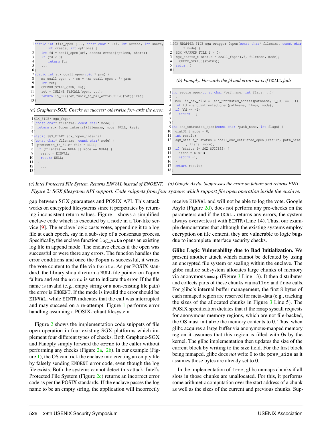<span id="page-4-0"></span>

*(c) Intel Protected File System. Returns EINVAL instead of ENOENT. (d) Google Asylo. Suppresses the error on failure and returns EINT. Figure 2: SGX filesystem API support. Code snippets from four systems which support file open operation inside the enclave.*

gap between SGX guarantees and POSIX API. This attack works on encrypted filesystems since it perpetrates by returning inconsistent return values. Figure [1](#page-3-2) shows a simplified enclave code which is executed by a node in a Tor-like service [\[9\]](#page-17-7). The enclave logic casts votes, appending it to a log file at each epoch, say in a sub-step of a consensus process. Specifically, the enclave function log\_vote opens an existing log file in append mode. The enclave checks if the open was successful or were there any errors. The function handles the error conditions and once the fopen is successful, it writes the vote content to the file via fwrite. As per POSIX standard, the library should return a NULL file pointer on fopen failure and set the errno is set to indicate the error. If the file name is invalid (e.g., empty string or a non-existing file path) the error is ENOENT. If the mode is invalid the error should be EINVAL, while EINTR indicates that the call was interrupted and may succeed on a re-attempt. Figure [1](#page-3-2) performs error handling assuming a POSIX-reliant filesystem.

Figure [2](#page-4-0) shows the implementation code snippets of file open operation in four existing SGX platforms which implement four different types of checks. Both Graphene-SGX and Panoply simply forward the errno to the caller without performing any checks (Figure [2a,](#page-4-0) [2b\)](#page-4-0). In our example (Figure [1\)](#page-3-2), the OS can trick the enclave into creating an empty file by falsely sending ENOENT error code, even though the log file exists. Both the systems cannot detect this attack. Intel's Protected File System (Figure [2c\)](#page-4-0) returns an incorrect error code as per the POSIX standards. If the enclave passes the log name to be an empty string, the application will incorrectly

receive EINVAL and will not be able to log the vote. Google Asylo (Figure [2d\)](#page-4-0), does not perform any pre-checks on the parameters and if the OCALL returns any errors, the system always overwrites it with EINTR (Line 14). Thus, our example demonstrates that although the existing systems employ encryption on file content, they are vulnerable to logic bugs due to incomplete interface security checks.

Glibc Logic Vulnerability due to Bad Initialization. We present another attack which cannot be defeated by using an encrypted file system or sealing within the enclave. The glibc malloc subsystem allocates large chunks of memory via anonymous mmap (Figure [3](#page-5-0) Line 13). It then distributes and collects parts of these chunks via malloc and free calls. For glibc's internal buffer management, the first 8 bytes of each mmaped region are reserved for meta-data (e.g., tracking the sizes of the allocated chunks in Figure [3](#page-5-0) Line 5). The POSIX specification dictates that if the mmap syscall requests for anonymous memory regions, which are not file-backed, the OS must initialize the memory contents to 0. Thus, when glibc acquires a large buffer via anonymous-mapped memory region it assumes that this region is filled with 0s by the kernel. The glibc implementation then updates the size of the current block by writing to the size field. For the first block being mmaped, glibc does *not* write 0 to the prev\_size as it assumes those bytes are already set to 0.

In the implementation of free, glibc unmaps chunks if all slots in those chunks are unallocated. For this, it performs some arithmetic computation over the start address of a chunk as well as the sizes of the current and previous chunks. Sup-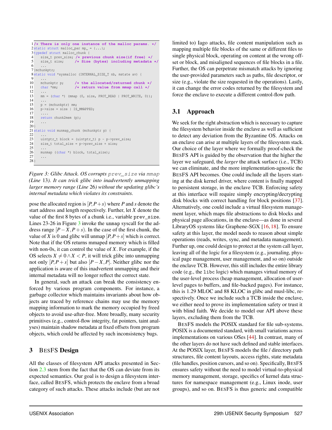```
1/* There is only one instance of the malloc params. */
 2 static struct malloc_par mp = \{... \};
 3 typedef struct malloc_chunk {
 4 size_t prev_size; /* previous chunk size(if free) */
                          5 size_t size; /* Size (bytes) including metadata */
 6 ...
 7 }mchunkptr;
 8 static void *sysmalloc (INTERNAL_SIZE_T nb, mstate av) {
 9 ...
10 mchunkptr p; /* the allocated/returned chunk */
11 char *mm; /* return value from mmap call */
\begin{matrix} 12 & \dots \\ 13 & \text{mm} \end{matrix}mm = (char *) (mmap (0, size, PROT_READ | PROT_WRITE, 0));
\begin{array}{ccc} 14 & & \dots \\ 15 & & \mathbb{D} \end{array}p = (mchunkptr) mm;
16 p->size = size | IS_MMAPPED;
\frac{17}{18}18 return chunk2mem (p);<br>19
       19 ...
20 }
21 static void munmap_chunk (mchunkptr p) {
\frac{22}{23}23 uintptr_t block = (uintptr_t) p - p->prev_size;<br>24 size t total size = p->prev size + size;
      size_t total_size = p->prev_size + size;
\frac{25}{26}26 munmap ((char *) block, total_size);<br>27 ...
       27 ...
28 }
```
*Figure 3: Glibc Attack. OS corrupts* prev\_size *via* mmap *(Line* 13*). It can trick glibc into inadvertently unmapping larger memory range (Line* 26*) without the updating glibc's internal metadata which violates its constraints.*

pose the allocated region is  $[P, P + s]$  where *P* and *s* denote the start address and length respectively. Further, let *X* denote the value of the first 8 bytes of a chunk i.e., variable prev\_size. Lines 23-26 in Figure [3](#page-5-0) invoke the unmap syscall for the address range  $[P - X, P + s)$ . In the case of the first chunk, the value of *X* is 0 and glibc will unmap  $[P, P + s]$  which is correct. Note that if the OS returns mmaped memory which is filled with non-0s, it can control the value of *X*. For example, if the OS selects  $X \neq 0 \land X < P$ , it will trick glibc into unmapping not only  $[P, P + s]$  but also  $[P - X, P]$ . Neither glibc nor the application is aware of this inadvertent unmapping and their internal metadata will no longer reflect the correct state.

In general, such an attack can break the consistency enforced by various program components. For instance, a garbage collector which maintains invariants about how objects are traced by reference chains may use the memory mapping information to mark the memory occupied by freed objects to avoid use-after-free. More broadly, many security primitives (e.g., control-flow integrity, fat pointers, taint analyses) maintain shadow metadata at fixed offsets from program objects, which could be affected by such inconsistency bugs.

# 3 BESFS Design

All the classes of filesystem API attacks presented in Section [2.3](#page-3-1) stem from the fact that the OS can deviate from its expected semantics. Our goal is to design a filesystem interface, called BESFS, which protects the enclave from a broad category of such attacks. These attacks include (but are not

limited to) Iago attacks, file content manipulation such as mapping multiple file blocks of the same or different files to single physical block, operating on content at the wrong offset or block, and misaligned sequences of file blocks in a file. Further, the OS can perpetrate mismatch attacks by ignoring the user-provided parameters such as paths, file descriptor, or size (e.g., violate the size requested in the operations). Lastly, it can change the error codes returned by the filesystem and force the enclave to execute a different control-flow path.

# 3.1 Approach

We seek for the right abstraction which is necessary to capture the filesystem behavior inside the enclave as well as sufficient to detect any deviation from the Byzantine OS. Attacks on an enclave can arise at multiple layers of the filesystem stack. Our choice of the layer where we formally proof-check the BESFS API is guided by the observation that the higher the layer we safeguard, the *larger* the attack surface (i.e., TCB) we can eliminate, and the more implementation-agnostic the BESFS API becomes. One could include all the layers starting at the disk kernel driver, where content is finally mapped to persistent storage, in the enclave TCB. Enforcing safety at this interface will require simply encrypting/decrypting disk blocks with correct handling for block positions [\[37\]](#page-18-16). Alternatively, one could include a virtual filesystem management layer, which maps file abstractions to disk blocks and physical page allocations, in the enclave—as done in several LibraryOS systems like Graphene-SGX [\[16,](#page-17-1) [18\]](#page-18-8). To ensure safety at this layer, the model needs to reason about simple operations (reads, writes, sync, and metadata management). Further up, one could design to protect at the system call layer, leaving all of the logic for a filesystem (e.g., journaling, physical page management, user management, and so on) outside the enclave TCB. However, this still includes the entire library code (e.g., the libc logic) which manages virtual memory of the user-level process (heap management, allocation of userlevel pages to buffers, and file-backed pages). For instance, this is 1.29 MLOC and 88 KLOC in glibc and musl-libc, respectively. Once we include such a TCB inside the enclave, we either need to prove its implementation safety or trust it with blind faith. We decide to model our API above these layers, excluding them from the TCB.

BESFS models the POSIX standard for file sub-systems. POSIX is a documented standard, with small variations across implementations on various OSes [\[44\]](#page-18-15). In contrast, many of the other layers do not have such defined and stable interfaces. At the POSIX layer, BESFS models the file / directory path structures, file content layouts, access rights, state metadata (file handles, position cursors, and so on). Specifically, BESFS ensures safety without the need to model virtual-to-physical memory management, storage, specifics of kernel data structures for namespace management (e.g., Linux inode, user groups), and so on. BESFS is thus generic and compatible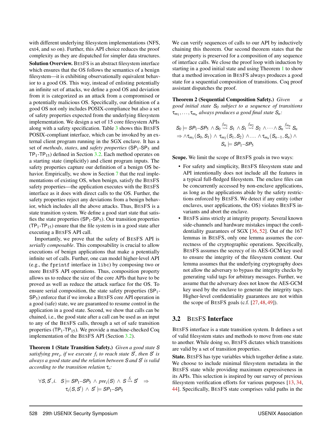with different underlying filesystem implementations (NFS, ext4, and so on). Further, this API choice reduces the proof complexity as they are dispatched for simpler data structures. Solution Overview. BESFS is an abstract filesystem interface which ensures that the OS follows the semantics of a benign filesystem—it is exhibiting observationally equivalent behavior to a good OS. This way, instead of enlisting potentially an infinite set of attacks, we define a good OS and deviation from it is categorized as an attack from a compromised or a potentially malicious OS. Specifically, our definition of a good OS not only includes POSIX-compliance but also a set of safety properties expected from the underlying filesystem implementation. We design a set of 15 core filesystem APIs along with a safety specification. Table [3](#page-8-0) shows this BESFS POSIX-compliant interface, which can be invoked by an external client program running in the SGX enclave. It has a set of *methods*, *states*, and *safety properties* (SP1-SP<sup>5</sup> and  $TP_1$ -TP<sub>15</sub>) defined in Section [3.2.](#page-6-0) Each method operates on a starting state (implicitly) and client program inputs. The safety properties capture our definition of a benign OS be-havior. Empirically, we show in Section [7](#page-12-0) that the real implementations of existing OS, when benign, satisfy the BESFS safety properties—the application executes with the BESFS interface as it does with direct calls to the OS. Further, the safety properties reject any deviations from a benign behavior, which includes all the above attacks. Thus, BESFS is a state transition system. We define a good start state that satisfies the state properties  $(SP_1-SP_5)$ . Our transition properties  $(TP_1 - TP_{15})$  ensure that the file system is in a good state after executing a BESFS API call.

Importantly, we prove that the safety of BESFS API is *serially composable*. This composability is crucial to allow executions of benign applications that make a potentially infinite set of calls. Further, one can model higher-level API (e.g., the fprintf interface in libc) by composing two or more BESFS API operations. Thus, composition property allows us to reduce the size of the core APIs that have to be proved as well as reduce the attack surface for the OS. To ensure serial composition, the state safety properties (SP<sub>1</sub>- $SP<sub>5</sub>$ ) enforce that if we invoke a BESFS core API operation in a good (safe) state, we are guaranteed to resume control in the application in a good state. Second, we show that calls can be chained, i.e., the good state after a call can be used as an input to any of the BESFS calls, through a set of safe transition properties ( $TP_1$ -TP<sub>15</sub>). We provide a machine-checked Coq implementation of the BESFS API (Section [3.2\)](#page-6-0).

<span id="page-6-1"></span>Theorem 1 (State Transition Safety.) *Given a good state S satisfying pre<sub>i</sub>, if we execute*  $f_i$  to reach state  $S$ , then  $S$  is *always a good state and the relation between S and S* 0 *is valid according to the transition relation* τ*i:*

$$
\forall S, S', i. \quad S \models SP_1 - SP_5 \land pre_i(S) \land S \stackrel{f_i}{\leadsto} S' \Rightarrow
$$
  
\n
$$
\tau_i(S, S') \land S' \models SP_1 - SP_5
$$

We can verify sequences of calls to our API by inductively chaining this theorem. Our second theorem states that the state property is preserved for a composition of any sequence of interface calls. We close the proof loop with induction by starting in a good initial state and using Theorem [1](#page-6-1) to show that a method invocation in BESFS always produces a good state for a sequential composition of transitions. Coq proof assistant dispatches the proof.

Theorem 2 (Sequential Composition Safety.) *Given a good initial state S<sup>0</sup> subject to a sequence of transitions* τ*m*<sup>1</sup> ,..., τ*m<sup>n</sup> always produces a good final state Sn:*

$$
S_0 \models \mathit{SP}_1\text{-}\mathit{SP}_5 \land S_0 \stackrel{f_{m_1}}{\leadsto} S_1 \land S_1 \stackrel{f_{m_2}}{\leadsto} S_2 \land \dots \land S_n \stackrel{f_{m_n}}{\leadsto} S_n \Rightarrow \land \tau_{m_1}(S_0, S_1) \land \tau_{m_2}(S_1, S_2) \land \dots \land \tau_{m_n}(S_{n-1}, S_n) \land \dots \land S_n \models \mathit{SP}_1\text{-}\mathit{SP}_5
$$

Scope. We limit the scope of BESFS goals in two ways:

- For safety and simplicity, BESFS filesystem state and API intentionally does not include all the features in a typical full-fledged filesystem. The enclave files can be concurrently accessed by non-enclave applications, as long as the applications abide by the safety restrictions enforced by BESFS. We detect if any entity (other enclaves, user applications, the OS) violates BESFS invariants and abort the enclave.
- BESFS aims strictly at integrity property. Several known side-channels and hardware mistakes impact the confidentiality guarantees of SGX [\[36,](#page-18-17) [52\]](#page-18-18). Out of the 167 lemmas in BESFS, only one lemma assumes the correctness of the cryptographic operations. Specifically, BESFS assumes the secrecy of its AES-GCM key used to ensure the integrity of the filesystem content. Our lemma assumes that the underlying cryptography does not allow the adversary to bypass the integrity checks by generating valid tags for arbitrary messages. Further, we assume that the adversary does not know the AES-GCM key used by the enclave to generate the integrity tags. Higher-level confidentiality guarantees are not within the scope of BESFS goals (c.f. [\[27,](#page-18-19) [48,](#page-18-6) [49\]](#page-18-7)).

#### <span id="page-6-0"></span>3.2 BESFS Interface

BESFS interface is a state transition system. It defines a set of valid filesystem states and methods to move from one state to another. While doing so, BESFS dictates which transitions are valid by a set of transition properties.

State. BESFS has type variables which together define a state. We choose to include minimal filesystem metadata in the BESFS state while providing maximum expressiveness in its APIs. This selection is inspired by our survey of previous filesystem verification efforts for various purposes [\[13,](#page-17-6) [34,](#page-18-20) [44\]](#page-18-15). Specifically, BESFS state comprises valid paths in the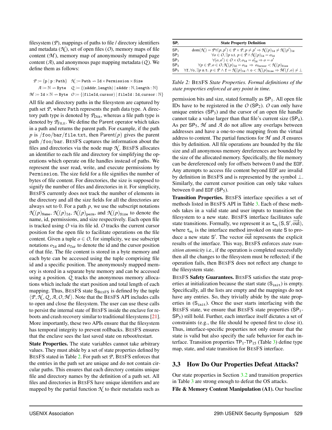filesystem (*P*), mappings of paths to file / directory identifiers and metadata  $(\mathcal{N})$ , set of open files  $(\mathcal{O})$ , memory maps of file content  $(M)$ , memory map of anonymously mmaped page content (*A*), and anonymous page mapping metadata (*Q* ). We define them as follows:

 $P := \{ p | p : \text{Path} \}$   $\mathcal{N} := \text{Path} \rightarrow \text{Id} \times \text{Permission} \times \text{Size}$  $A := \mathbb{N} \rightarrow \mathsf{Byte}$   $Q := \{(\textsf{sAddr},\textsf{length}) \mid \textsf{sAddr} : \mathbb{N},\textsf{length} : \mathbb{N}\}\$  $M := \text{Id} \times \mathbb{N} \to \text{Byte}$  *O* := {(fileId, cursor) | fileId : Id, cursor :  $\mathbb{N}$ }

All file and directory paths in the filesystem are captured by path set *P*, where Path represents the path data type. A directory path type is denoted by  $P_{\text{DIR}}$ , whereas a file path type is denoted by  $P_{\text{FILE}}$ . We define the Parent operator which takes in a path and returns the parent path. For example, if the path  $p$  is /foo/bar/file.txt, then Parent $(p)$  gives the parent path /foo/bar. BESFS captures the information about the files and directories via the node map  $\mathcal{N}$ . BESFS allocates an identifier to each file and directory for simplifying the operations which operate on file handles instead of paths. We represent the user read, write, and execute permissions by Permission. The size field for a file signifies the number of bytes of file content. For directories, the size is supposed to signify the number of files and directories in it. For simplicity, BESFS currently does not track the number of elements in the directory and all the size fields for all the directories are always set to 0. For a path *p*, we use the subscript notations  $\mathcal{N}(p)_{\text{Name}}, \mathcal{N}(p)_{\text{Id}}, \mathcal{N}(p)_{\text{perm}},$  and  $\mathcal{N}(p)_{\text{Size}}$  to denote the name, id, permissions, and size respectively. Each open file is tracked using *O* via its file id. *O* tracks the current cursor position for the open file to facilitate operations on the file content. Given a tuple  $o \in O$ , for simplicity, we use subscript notations  $o_{Id}$  and  $o_{Cur}$  to denote the id and the cursor position of that file. The file content is stored in a byte memory and each byte can be accessed using the tuple comprising file id and a specific position. The anonymously mapped memory is stored in a separate byte memory and can be accessed using a position. *Q* tracks the anonymous memory allocations which include the start position and total length of each mapping. Thus,  $BESFS$  state  $S_{BESFS}$  is defined by the tuple  $\langle P, \mathcal{N}, Q, A, O, \mathcal{M} \rangle$ . Note that the BESFS API includes calls to open and close the filesystem. The user can use these calls to persist the internal state of BESFS inside the enclave for reboots and crash recovery similar to traditional filesystems [\[21\]](#page-18-21). More importantly, these two APIs ensure that the filesystem has temporal integrity to prevent rollbacks. BESFS ensures that the enclave sees the last saved state on reboot/restart.

State Properties. The state variables cannot take arbitrary values. They must abide by a set of state properties defined by BESFS stated in Table [2.](#page-7-0) For path set *P*, BESFS enforces that the entries in the path set are unique and do not contain circular paths. This ensures that each directory contains unique file and directory names by the definition of a path set. All files and directories in BESFS have unique identifiers and are mapped by the partial function  $\mathcal N$  to their metadata such as

<span id="page-7-0"></span>

| SP <sub>i</sub> | <b>State Property Definition</b>                                                                                                                                                  |
|-----------------|-----------------------------------------------------------------------------------------------------------------------------------------------------------------------------------|
| SP <sub>1</sub> | $dom(\mathcal{N}) = \mathcal{P}\forall (p,p') \in \mathcal{P} \times \mathcal{P}, p \neq p' \Rightarrow \mathcal{N}(p)_{\text{Id}} \neq \mathcal{N}(p')_{\text{Id}}$              |
| SP <sub>2</sub> | $\forall o \in O, \exists p \text{ s.t. } p \in \mathcal{P} \wedge \mathcal{N}(p)_{\text{Id}} = o_{\text{Id}}$                                                                    |
| SP <sub>3</sub> | $\forall (o, o') \in O \times O, o_{\text{Id}} = o'_{\text{Id}} \Rightarrow o = o'$                                                                                               |
| SP <sub>4</sub> | $\forall p \in \mathcal{P}, o \in O, \mathcal{N}(p)_{\texttt{Id}} = o_{\texttt{Id}} \ \Rightarrow \ o_{\texttt{Cursor}} < \mathcal{N}(p)_{\texttt{Size}}$                         |
| SP <sub>5</sub> | $\forall$ f, $\forall$ o, $\exists p$ s.t. $p \in \mathcal{P} \land f = \mathcal{N}(p)_{\text{Id}} \land o < \mathcal{N}(p)_{\text{Size}} \Rightarrow \mathcal{M}(f,o) \neq \bot$ |

*Table 2:* BESFS *State Properties. Formal definitions of the state properties enforced at any point in time.*

permission bits and size, stated formally as  $SP<sub>1</sub>$ . All open file IDs have to be registered in the  $O$  (SP<sub>2</sub>).  $O$  can only have unique entries  $(SP_3)$  and the cursor of an open file handle cannot take a value larger than that file's current size  $(SP_4)$ . As per  $SP_5$ ,  $M$  and  $A$  do not allow any overlaps between addresses and have a one-to-one mapping from the virtual address to content. The partial functions for *M* and *A* ensures this by definition. All file operations are bounded by the file size and all anonymous memory dereferences are bounded by the size of the allocated memory. Specifically, the file memory can be dereferenced only for offsets between 0 and the EOF. Any attempts to access file content beyond EOF are invalid by definition in BESFS and is represented by the symbol  $\perp$ . Similarly, the current cursor position can only take values between 0 and EOF ( $SP_5$ ).

Transition Properties. BESFS interface specifies a set of methods listed in BESFS API in Table [3.](#page-8-0) Each of these methods takes in a valid state and user inputs to transition the filesystem to a new state. BESFS interface facilitates safe state transitions. Formally, we represent it as  $\tau_{m_i}(S, S', \overline{\text{out}})$ , where  $\tau_{m_i}$  is the interface method invoked on state S to produce a new state S'. The vector  $\overrightarrow{out}$  represents the explicit results of the interface. This way, BESFS enforces *state transition atomicity* i.e., if the operation is completed successfully then all the changes to the filesystem must be reflected; if the operation fails, then BESFS does not reflect any change to the filesystem state.

BESFS Safety Guarantees. BESFS satisfies the state properties at initialization because the start state  $(S<sub>init</sub>)$  is empty. Specifically, all the lists are empty and the mappings do not have any entries. So, they trivially abide by the state properties in  $(S_{init})$ . Once the user starts interfacing with the BESFS state, we ensure that BESFS state properties (SP<sub>1</sub>- $SP<sub>5</sub>$ ) still hold. Further, each interface itself dictates a set of constraints (e.g., the file should be opened first to close it). Thus, interface-specific properties not only ensure that the state is valid but also specify the safe behavior for each interface. Transition properties  $TP_1$ -TP<sub>15</sub> (Table [3\)](#page-8-0) define type map, state, and state transition for BESFS interface.

# 3.3 How Do Our Properties Defeat Attacks?

Our state properties in Section [3.2](#page-6-0) and transition properties in Table [3](#page-8-0) are strong enough to defeat the OS attacks.

File & Memory Content Manipulation (A1). Our baseline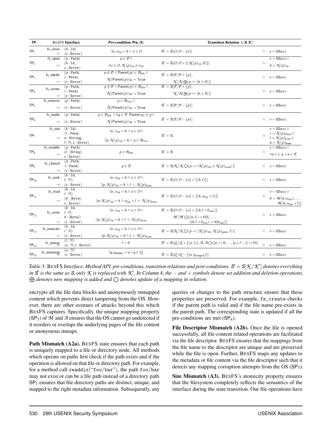<span id="page-8-0"></span>

|                           | <b>BESFS</b> Interface                                                                                                                                                | Pre-condition $Pre_i(S)$                                                                                                                                                                                                                                                                                                                                             | Transition Relation $\tau_i(S, S')$                                                                                                                                                                                                                                                                                                                                                                                                                                                                                                                                                                                                                                                                                                                                                                                                                                                                                                                                                                |                                                                                                                                                                                                                                                                                                                                                                                                                                                                                                                                                                                                                                                                                                                                                                                                                                                                                            |                                                  |  |  |
|---------------------------|-----------------------------------------------------------------------------------------------------------------------------------------------------------------------|----------------------------------------------------------------------------------------------------------------------------------------------------------------------------------------------------------------------------------------------------------------------------------------------------------------------------------------------------------------------|----------------------------------------------------------------------------------------------------------------------------------------------------------------------------------------------------------------------------------------------------------------------------------------------------------------------------------------------------------------------------------------------------------------------------------------------------------------------------------------------------------------------------------------------------------------------------------------------------------------------------------------------------------------------------------------------------------------------------------------------------------------------------------------------------------------------------------------------------------------------------------------------------------------------------------------------------------------------------------------------------|--------------------------------------------------------------------------------------------------------------------------------------------------------------------------------------------------------------------------------------------------------------------------------------------------------------------------------------------------------------------------------------------------------------------------------------------------------------------------------------------------------------------------------------------------------------------------------------------------------------------------------------------------------------------------------------------------------------------------------------------------------------------------------------------------------------------------------------------------------------------------------------------|--------------------------------------------------|--|--|
| fs_close<br>$\rightarrow$ | (h:Id)<br>(e:Error)                                                                                                                                                   | $\exists o, o_{\text{Id}} = h \land o \in O$                                                                                                                                                                                                                                                                                                                         | $S' = S[O/O - \{o\}]$                                                                                                                                                                                                                                                                                                                                                                                                                                                                                                                                                                                                                                                                                                                                                                                                                                                                                                                                                                              |                                                                                                                                                                                                                                                                                                                                                                                                                                                                                                                                                                                                                                                                                                                                                                                                                                                                                            | $\wedge$ e = ESucc                               |  |  |
| fs_open                   | $(p : \text{Path})$                                                                                                                                                   | $p \in \mathcal{P} \wedge$                                                                                                                                                                                                                                                                                                                                           |                                                                                                                                                                                                                                                                                                                                                                                                                                                                                                                                                                                                                                                                                                                                                                                                                                                                                                                                                                                                    |                                                                                                                                                                                                                                                                                                                                                                                                                                                                                                                                                                                                                                                                                                                                                                                                                                                                                            | $e =$ ESucc $\wedge$                             |  |  |
| $\rightarrow$             | (h:Id,<br>e:Error)                                                                                                                                                    | $\forall o \in O, \mathcal{N}(p)_{\text{Id}} \neq o_{\text{Id}}$                                                                                                                                                                                                                                                                                                     |                                                                                                                                                                                                                                                                                                                                                                                                                                                                                                                                                                                                                                                                                                                                                                                                                                                                                                                                                                                                    | Λ                                                                                                                                                                                                                                                                                                                                                                                                                                                                                                                                                                                                                                                                                                                                                                                                                                                                                          | $h = \mathcal{N}(p)_{\text{Id}}$                 |  |  |
|                           | $(p: \text{Path},$                                                                                                                                                    |                                                                                                                                                                                                                                                                                                                                                                      |                                                                                                                                                                                                                                                                                                                                                                                                                                                                                                                                                                                                                                                                                                                                                                                                                                                                                                                                                                                                    |                                                                                                                                                                                                                                                                                                                                                                                                                                                                                                                                                                                                                                                                                                                                                                                                                                                                                            |                                                  |  |  |
|                           |                                                                                                                                                                       |                                                                                                                                                                                                                                                                                                                                                                      |                                                                                                                                                                                                                                                                                                                                                                                                                                                                                                                                                                                                                                                                                                                                                                                                                                                                                                                                                                                                    |                                                                                                                                                                                                                                                                                                                                                                                                                                                                                                                                                                                                                                                                                                                                                                                                                                                                                            | $\wedge$ e = ESucc                               |  |  |
|                           |                                                                                                                                                                       |                                                                                                                                                                                                                                                                                                                                                                      |                                                                                                                                                                                                                                                                                                                                                                                                                                                                                                                                                                                                                                                                                                                                                                                                                                                                                                                                                                                                    |                                                                                                                                                                                                                                                                                                                                                                                                                                                                                                                                                                                                                                                                                                                                                                                                                                                                                            |                                                  |  |  |
| fs create                 |                                                                                                                                                                       |                                                                                                                                                                                                                                                                                                                                                                      |                                                                                                                                                                                                                                                                                                                                                                                                                                                                                                                                                                                                                                                                                                                                                                                                                                                                                                                                                                                                    |                                                                                                                                                                                                                                                                                                                                                                                                                                                                                                                                                                                                                                                                                                                                                                                                                                                                                            |                                                  |  |  |
|                           |                                                                                                                                                                       | $\mathcal{N}$ (Parent $(p)$ ) <sub>W</sub> = True                                                                                                                                                                                                                                                                                                                    | $\mathcal{N}/\mathcal{N}\bigoplus (p \mapsto \langle h, r, 0 \rangle)$                                                                                                                                                                                                                                                                                                                                                                                                                                                                                                                                                                                                                                                                                                                                                                                                                                                                                                                             |                                                                                                                                                                                                                                                                                                                                                                                                                                                                                                                                                                                                                                                                                                                                                                                                                                                                                            | $e =$ ESucc                                      |  |  |
|                           |                                                                                                                                                                       |                                                                                                                                                                                                                                                                                                                                                                      |                                                                                                                                                                                                                                                                                                                                                                                                                                                                                                                                                                                                                                                                                                                                                                                                                                                                                                                                                                                                    |                                                                                                                                                                                                                                                                                                                                                                                                                                                                                                                                                                                                                                                                                                                                                                                                                                                                                            |                                                  |  |  |
|                           |                                                                                                                                                                       |                                                                                                                                                                                                                                                                                                                                                                      |                                                                                                                                                                                                                                                                                                                                                                                                                                                                                                                                                                                                                                                                                                                                                                                                                                                                                                                                                                                                    |                                                                                                                                                                                                                                                                                                                                                                                                                                                                                                                                                                                                                                                                                                                                                                                                                                                                                            | $\wedge$ e = ESucc                               |  |  |
|                           | (e:Error)                                                                                                                                                             |                                                                                                                                                                                                                                                                                                                                                                      |                                                                                                                                                                                                                                                                                                                                                                                                                                                                                                                                                                                                                                                                                                                                                                                                                                                                                                                                                                                                    |                                                                                                                                                                                                                                                                                                                                                                                                                                                                                                                                                                                                                                                                                                                                                                                                                                                                                            |                                                  |  |  |
| fs rmdir                  | $(p : \text{Path})$                                                                                                                                                   | $p \in \mathcal{P}_{\text{DIR}} \land \forall q \in \mathcal{P}$ , Parent $(q) \neq p \land$                                                                                                                                                                                                                                                                         |                                                                                                                                                                                                                                                                                                                                                                                                                                                                                                                                                                                                                                                                                                                                                                                                                                                                                                                                                                                                    |                                                                                                                                                                                                                                                                                                                                                                                                                                                                                                                                                                                                                                                                                                                                                                                                                                                                                            |                                                  |  |  |
| $\rightarrow$             | (e:Error)                                                                                                                                                             | $\mathcal{N}(\mathsf{Parent}(p))_W = \mathtt{True}$                                                                                                                                                                                                                                                                                                                  | $S' = S[\mathcal{P}/\mathcal{P}-\{p\}]$                                                                                                                                                                                                                                                                                                                                                                                                                                                                                                                                                                                                                                                                                                                                                                                                                                                                                                                                                            | $\wedge$                                                                                                                                                                                                                                                                                                                                                                                                                                                                                                                                                                                                                                                                                                                                                                                                                                                                                   | $e =$ ESucc                                      |  |  |
| fs stat                   | (h:Id)                                                                                                                                                                |                                                                                                                                                                                                                                                                                                                                                                      |                                                                                                                                                                                                                                                                                                                                                                                                                                                                                                                                                                                                                                                                                                                                                                                                                                                                                                                                                                                                    |                                                                                                                                                                                                                                                                                                                                                                                                                                                                                                                                                                                                                                                                                                                                                                                                                                                                                            | $e =$ ESucc $\wedge$                             |  |  |
|                           | $(r: \text{Perm},$                                                                                                                                                    |                                                                                                                                                                                                                                                                                                                                                                      |                                                                                                                                                                                                                                                                                                                                                                                                                                                                                                                                                                                                                                                                                                                                                                                                                                                                                                                                                                                                    |                                                                                                                                                                                                                                                                                                                                                                                                                                                                                                                                                                                                                                                                                                                                                                                                                                                                                            | $r = \mathcal{N}(p)_{\text{Perm}} \wedge$        |  |  |
|                           | $n:$ String,                                                                                                                                                          |                                                                                                                                                                                                                                                                                                                                                                      |                                                                                                                                                                                                                                                                                                                                                                                                                                                                                                                                                                                                                                                                                                                                                                                                                                                                                                                                                                                                    |                                                                                                                                                                                                                                                                                                                                                                                                                                                                                                                                                                                                                                                                                                                                                                                                                                                                                            | $l = \mathcal{N}(p)_{\text{Size}} \wedge$        |  |  |
|                           | $l:\mathbb{N},e:\text{Error})$                                                                                                                                        |                                                                                                                                                                                                                                                                                                                                                                      |                                                                                                                                                                                                                                                                                                                                                                                                                                                                                                                                                                                                                                                                                                                                                                                                                                                                                                                                                                                                    |                                                                                                                                                                                                                                                                                                                                                                                                                                                                                                                                                                                                                                                                                                                                                                                                                                                                                            | $n = \mathcal{N}(p)_{\text{Name}}$               |  |  |
|                           |                                                                                                                                                                       |                                                                                                                                                                                                                                                                                                                                                                      |                                                                                                                                                                                                                                                                                                                                                                                                                                                                                                                                                                                                                                                                                                                                                                                                                                                                                                                                                                                                    |                                                                                                                                                                                                                                                                                                                                                                                                                                                                                                                                                                                                                                                                                                                                                                                                                                                                                            | $e =$ ESucc $\wedge$                             |  |  |
| $\rightarrow$             |                                                                                                                                                                       |                                                                                                                                                                                                                                                                                                                                                                      |                                                                                                                                                                                                                                                                                                                                                                                                                                                                                                                                                                                                                                                                                                                                                                                                                                                                                                                                                                                                    |                                                                                                                                                                                                                                                                                                                                                                                                                                                                                                                                                                                                                                                                                                                                                                                                                                                                                            | $\forall n \in \mathcal{l}, p+n \in \mathcal{P}$ |  |  |
|                           |                                                                                                                                                                       |                                                                                                                                                                                                                                                                                                                                                                      |                                                                                                                                                                                                                                                                                                                                                                                                                                                                                                                                                                                                                                                                                                                                                                                                                                                                                                                                                                                                    |                                                                                                                                                                                                                                                                                                                                                                                                                                                                                                                                                                                                                                                                                                                                                                                                                                                                                            |                                                  |  |  |
| fs chmod                  |                                                                                                                                                                       |                                                                                                                                                                                                                                                                                                                                                                      |                                                                                                                                                                                                                                                                                                                                                                                                                                                                                                                                                                                                                                                                                                                                                                                                                                                                                                                                                                                                    |                                                                                                                                                                                                                                                                                                                                                                                                                                                                                                                                                                                                                                                                                                                                                                                                                                                                                            | $\wedge$ e = ESucc                               |  |  |
|                           |                                                                                                                                                                       |                                                                                                                                                                                                                                                                                                                                                                      |                                                                                                                                                                                                                                                                                                                                                                                                                                                                                                                                                                                                                                                                                                                                                                                                                                                                                                                                                                                                    |                                                                                                                                                                                                                                                                                                                                                                                                                                                                                                                                                                                                                                                                                                                                                                                                                                                                                            |                                                  |  |  |
|                           |                                                                                                                                                                       |                                                                                                                                                                                                                                                                                                                                                                      |                                                                                                                                                                                                                                                                                                                                                                                                                                                                                                                                                                                                                                                                                                                                                                                                                                                                                                                                                                                                    |                                                                                                                                                                                                                                                                                                                                                                                                                                                                                                                                                                                                                                                                                                                                                                                                                                                                                            |                                                  |  |  |
|                           |                                                                                                                                                                       |                                                                                                                                                                                                                                                                                                                                                                      |                                                                                                                                                                                                                                                                                                                                                                                                                                                                                                                                                                                                                                                                                                                                                                                                                                                                                                                                                                                                    |                                                                                                                                                                                                                                                                                                                                                                                                                                                                                                                                                                                                                                                                                                                                                                                                                                                                                            | $\wedge$ e = ESucc                               |  |  |
|                           | (e:Error)                                                                                                                                                             |                                                                                                                                                                                                                                                                                                                                                                      |                                                                                                                                                                                                                                                                                                                                                                                                                                                                                                                                                                                                                                                                                                                                                                                                                                                                                                                                                                                                    |                                                                                                                                                                                                                                                                                                                                                                                                                                                                                                                                                                                                                                                                                                                                                                                                                                                                                            |                                                  |  |  |
|                           | (h:Id,                                                                                                                                                                |                                                                                                                                                                                                                                                                                                                                                                      |                                                                                                                                                                                                                                                                                                                                                                                                                                                                                                                                                                                                                                                                                                                                                                                                                                                                                                                                                                                                    |                                                                                                                                                                                                                                                                                                                                                                                                                                                                                                                                                                                                                                                                                                                                                                                                                                                                                            | $e =$ ESucc $\wedge$                             |  |  |
|                           | $l:\mathbb{N})$                                                                                                                                                       |                                                                                                                                                                                                                                                                                                                                                                      |                                                                                                                                                                                                                                                                                                                                                                                                                                                                                                                                                                                                                                                                                                                                                                                                                                                                                                                                                                                                    |                                                                                                                                                                                                                                                                                                                                                                                                                                                                                                                                                                                                                                                                                                                                                                                                                                                                                            |                                                  |  |  |
|                           | $(b:[\text{Byte}],$                                                                                                                                                   |                                                                                                                                                                                                                                                                                                                                                                      |                                                                                                                                                                                                                                                                                                                                                                                                                                                                                                                                                                                                                                                                                                                                                                                                                                                                                                                                                                                                    |                                                                                                                                                                                                                                                                                                                                                                                                                                                                                                                                                                                                                                                                                                                                                                                                                                                                                            | $b = \mathcal{M}(h, o_{\text{Cur}}), \ldots,$    |  |  |
|                           |                                                                                                                                                                       |                                                                                                                                                                                                                                                                                                                                                                      |                                                                                                                                                                                                                                                                                                                                                                                                                                                                                                                                                                                                                                                                                                                                                                                                                                                                                                                                                                                                    |                                                                                                                                                                                                                                                                                                                                                                                                                                                                                                                                                                                                                                                                                                                                                                                                                                                                                            | $\mathcal{M}(h, o_{\text{Cur}}+l))$              |  |  |
|                           |                                                                                                                                                                       | $\exists o, o_{\text{Id}} = h \land o \in O \land$                                                                                                                                                                                                                                                                                                                   | $S' = S[O/O - \{o\} + \{(h, l + b_{1en})\},\$                                                                                                                                                                                                                                                                                                                                                                                                                                                                                                                                                                                                                                                                                                                                                                                                                                                                                                                                                      |                                                                                                                                                                                                                                                                                                                                                                                                                                                                                                                                                                                                                                                                                                                                                                                                                                                                                            |                                                  |  |  |
|                           |                                                                                                                                                                       |                                                                                                                                                                                                                                                                                                                                                                      |                                                                                                                                                                                                                                                                                                                                                                                                                                                                                                                                                                                                                                                                                                                                                                                                                                                                                                                                                                                                    | Λ                                                                                                                                                                                                                                                                                                                                                                                                                                                                                                                                                                                                                                                                                                                                                                                                                                                                                          | $e =$ ESucc                                      |  |  |
|                           |                                                                                                                                                                       | $\exists p, \mathcal{N}(p)_{\text{Id}} = h \wedge l < \mathcal{N}(p)_{\text{Size}}$                                                                                                                                                                                                                                                                                  |                                                                                                                                                                                                                                                                                                                                                                                                                                                                                                                                                                                                                                                                                                                                                                                                                                                                                                                                                                                                    |                                                                                                                                                                                                                                                                                                                                                                                                                                                                                                                                                                                                                                                                                                                                                                                                                                                                                            |                                                  |  |  |
|                           |                                                                                                                                                                       |                                                                                                                                                                                                                                                                                                                                                                      |                                                                                                                                                                                                                                                                                                                                                                                                                                                                                                                                                                                                                                                                                                                                                                                                                                                                                                                                                                                                    |                                                                                                                                                                                                                                                                                                                                                                                                                                                                                                                                                                                                                                                                                                                                                                                                                                                                                            |                                                  |  |  |
| fs truncate               |                                                                                                                                                                       |                                                                                                                                                                                                                                                                                                                                                                      |                                                                                                                                                                                                                                                                                                                                                                                                                                                                                                                                                                                                                                                                                                                                                                                                                                                                                                                                                                                                    |                                                                                                                                                                                                                                                                                                                                                                                                                                                                                                                                                                                                                                                                                                                                                                                                                                                                                            | $e =$ ESucc                                      |  |  |
| $\rightarrow$             | (e:Error)                                                                                                                                                             |                                                                                                                                                                                                                                                                                                                                                                      |                                                                                                                                                                                                                                                                                                                                                                                                                                                                                                                                                                                                                                                                                                                                                                                                                                                                                                                                                                                                    |                                                                                                                                                                                                                                                                                                                                                                                                                                                                                                                                                                                                                                                                                                                                                                                                                                                                                            |                                                  |  |  |
|                           | $(l:\mathbb{N})$                                                                                                                                                      |                                                                                                                                                                                                                                                                                                                                                                      |                                                                                                                                                                                                                                                                                                                                                                                                                                                                                                                                                                                                                                                                                                                                                                                                                                                                                                                                                                                                    |                                                                                                                                                                                                                                                                                                                                                                                                                                                                                                                                                                                                                                                                                                                                                                                                                                                                                            |                                                  |  |  |
|                           | $(a:\mathbb{N},e:\text{Error})$                                                                                                                                       |                                                                                                                                                                                                                                                                                                                                                                      |                                                                                                                                                                                                                                                                                                                                                                                                                                                                                                                                                                                                                                                                                                                                                                                                                                                                                                                                                                                                    | Λ                                                                                                                                                                                                                                                                                                                                                                                                                                                                                                                                                                                                                                                                                                                                                                                                                                                                                          | $e =$ ESucc                                      |  |  |
| fs_unmmap                 | $(a:\mathbb{N})$<br>(e:Error)                                                                                                                                         | $\exists q, q_{\text{sAddr}} = a \land q \in Q$                                                                                                                                                                                                                                                                                                                      | $S' = S[Q/Q - \{(a, q_{\text{length}})\}]$                                                                                                                                                                                                                                                                                                                                                                                                                                                                                                                                                                                                                                                                                                                                                                                                                                                                                                                                                         |                                                                                                                                                                                                                                                                                                                                                                                                                                                                                                                                                                                                                                                                                                                                                                                                                                                                                            | $e =$ ESucc                                      |  |  |
|                           | fs_mkdir<br>$\rightarrow$<br>fs remove<br>$\rightarrow$<br>fs readdir<br>$\rightarrow$<br>fs_seek<br>fs read<br>$\rightarrow$<br>fs write<br>$\rightarrow$<br>fs_mmap | $r:$ Perm)<br>(e:Error)<br>$(p: \text{Path},$<br>$r:$ Perm)<br>(e:Error)<br>$(p : \text{Path})$<br>$\rightarrow$<br>$(p : \text{Path})$<br>(l : [String],<br>$e$ : Error)<br>$(p: \text{Path},$<br>$r: \text{Perm}$<br>(e:Error)<br>(h:Id,<br>$l:\mathbb{N})$<br>$e$ : Error)<br>(h:Id,<br>$l:\mathbb{N}.$<br>$b:$ [Byte])<br>(e:Error)<br>(h:Id,<br>$l:\mathbb{N})$ | $p \notin \mathcal{P} \wedge \mathsf{Parent}(p) \in \mathcal{P}_{\mathsf{DIR}} \wedge$<br>$\mathcal{N}$ (Parent $(p)$ )w = True<br>$p \notin \mathcal{P} \wedge \mathsf{Parent}(p) \in \mathcal{P}_{\mathsf{DIR}} \wedge$<br>$p \in \mathcal{P}_{\text{FILF}} \wedge$<br>$\mathcal{N}$ (Parent $(p)$ ) <sub>W</sub> = True<br>$\exists o, o_{\text{Id}} = h \land o \in O \land$<br>$\exists p, \mathcal{N}(p)_{\text{Id}} = h \wedge p \in \mathcal{P}_{\text{FILE}}$<br>$p \in \mathcal{P}_{\text{DIR}}$<br>$p \in \mathcal{P}$<br>$\exists o, o_{\text{Id}} = h \land o \in O \land$<br>$\exists p, \mathcal{N}(p)_{\text{Id}} = h \wedge l < \mathcal{N}(p)_{\text{Size}}$<br>$\exists o, o_{\text{Id}} = h \land o \in O \land$<br>$\exists p, \mathcal{N}(p)_{\text{Id}} = h \wedge o_{\text{Cur}} + l < \mathcal{N}(p)_{\text{Size}}$<br>$\exists o, o_{\text{Id}} = h \land o \in O \land$<br>$\exists p, \mathcal{N}(p)_{\text{Id}} = h \wedge l < \mathcal{N}(p)_{\text{Size}}$<br>l > 0 | $S' = S[O/O + \{(\mathcal{N}(p)_{\text{Id}}, 0)\}]$<br>$\mathsf{S}'=\mathsf{S}[\mathcal{P}/\mathcal{P}+\{p\},$<br>$\mathcal{N}/\mathcal{N}\bigoplus (p\mapsto \langle h,r,0\rangle)\big]$<br>$S' = S[\mathcal{P}/\mathcal{P} + \{p\},$<br>$S' = S[\mathcal{P}/\mathcal{P}-\{p\}]$<br>$S' = S$<br>$S' = S$<br>$S' = S[\mathcal{N}/\mathcal{N}\bigodot(p \mapsto \langle \mathcal{N}(p)_{\text{Id}}, r, \mathcal{N}(p)_{\text{size}}\rangle)]$<br>$S' = S[O/O - \{o\} + \{(h,l)\}]$<br>$S' = S[O/O - \{o\} + \{(h, o_{cur} + l)\}]$<br>$\mathcal{M}/\mathcal{M} \bigodot ((h,l) \mapsto b[0], \ldots,$<br>$((h, l+b_{1en}) \mapsto b[b_{1en}])$<br>$S' = S[\mathcal{N}/\mathcal{N}\bigodot(p \mapsto \langle \mathcal{N}(p)_{\text{Id}}, \mathcal{N}(p)_{\text{perm}}, l \rangle)]$<br>$S' = S[Q/Q + \{(a, l)\}, \mathcal{A}/\mathcal{A}\bigodot([a] \mapsto 0, \ldots, [a+l-1] \mapsto 0)]$ | Λ<br>$\wedge$<br>Λ<br>Λ<br>$\wedge$<br>$\wedge$  |  |  |

*Table 3: <code>BESFS</code> Interface. Method API, pre-conditions, transition relations and post-conditions.*  $S' = S[X/X']$  *denotes everything*  $\alpha$  *in*  $S$  *is the same as*  $S$ *, only*  $K$  *is replaced with*  $K'$ *. In Column* 4*, the*  $-$  *and*  $+$  *symbols denote set addition and deletion operations.*  $\bigoplus$  *denotes new mapping is added and*  $\bigodot$  *denotes update of a mapping in relation.* 

encrypts all the file data blocks and anonymously mmapped content which prevents direct tampering from the OS. However, there are other avenues of attacks beyond this which BESFS captures. Specifically, the unique mapping property  $(SP_5)$  of M and A ensures that the OS cannot go undetected if it reorders or overlaps the underlying pages of the file content or anonymous mmaps.

Path Mismatch (A2a). BESFS state ensures that each path is uniquely mapped to a file or directory node. All methods which operate on paths first check if the path exists and if the operation is allowed on that file or directory path. For example, for a method call readdir("foo/bar"), the path foo/bar may not exist or can be a file path instead of a directory path.  $SP<sub>1</sub>$  ensures that file directory paths are distinct, unique, and mapped to the right metadata information. Subsequently, any

queries or changes to the path structure ensure that these properties are preserved. For example, fs\_create checks if the parent path is valid and if the file name pre-exists in the parent path. The corresponding state is updated if all the pre-conditions are met (SP4).

File Descriptor Mismatch (A2b). Once the file is opened successfully, all file-content related operations are facilitated via the file descriptor. BESFS ensures that the mappings from the file name to the descriptor are unique and are preserved while the file is open. Further, BESFS maps any updates to the metadata or file content via the file descriptor such that it detects any mapping corruption attempts from the  $OS(SP_5)$ .

Size Mismatch (A3). BESFS's atomicity property ensures that the filesystem completely reflects the semantics of the interface during the state transition. Our file operations have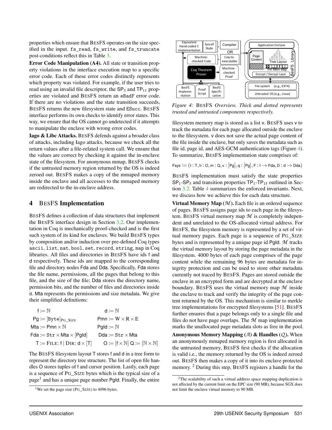properties which ensure that BESFS operates on the size specified in the input. fs\_read, fs\_write, and fs\_truncate post-conditions reflect this in Table [3.](#page-8-0)

Error Code Manipulation (A4). All state or transition property violations in the interface execution map to a specific error code. Each of these error codes distinctly represents which property was violated. For example, if the user tries to read using an invalid file descriptor, the  $SP<sub>3</sub>$  and  $TP<sub>11</sub>$  properties are violated and BESFS return an eBadF error code. If there are no violations and the state transition succeeds, BESFS returns the new filesystem state and ESucc. BESFS interface performs its own checks to identify error states. This way, we ensure that the OS cannot go undetected if it attempts to manipulate the enclave with wrong error codes.

Iago & Libc Attacks. BESFS defends against a broader class of attacks, including Iago attacks, because we check all the return values after a file-related system call. We ensure that the values are correct by checking it against the in-enclave state of the filesystem. For anonymous mmap, BESFS checks if the untrusted memory region returned by the OS is indeed zeroed out. BESFS makes a copy of the mmaped memory inside the enclave and all accesses to the mmaped memory are redirected to the in-enclave address.

#### <span id="page-9-1"></span>4 BESFS Implementation

BESFS defines a collection of data structures that implement the BESFS interface design in Section [3.2.](#page-6-0) Our implementation in Coq is mechanically proof-checked and is the first such system of its kind for enclaves. We build BESFS types by composition and/or induction over pre-defined Coq types ascii, list, nat, bool, set, record, string, map in Coq libraries. All files and directories in BESFS have ids f and d respectively. These ids are mapped to the corresponding file and directory nodes Fda and Dda. Specifically, Fda stores the file name, permissions, all the pages that belong to this file, and the size of the file; Dda stores the directory name, permission bits, and the number of files and directories inside it. Mta represents the permissions and size metadata. We give their simplified definitions:

| $f := N$                                    | $d \coloneqq \mathbb{N}$                                         |
|---------------------------------------------|------------------------------------------------------------------|
| $Pg := [Byte]_{PG \; SIZE}$                 | $Pmn := W \times R \times E$                                     |
| Mta $:=$ Pmn $\times \mathbb{N}$            | $Pald := N$                                                      |
| $Fda := Str \times Mta \times  Pgld $       | $Dda := Str \times Mta$                                          |
| $T \coloneqq$ FILE: f   DIR: $d \times [T]$ | $O := [f \times \mathbb{N}] Q := [\mathbb{N} \times \mathbb{N}]$ |

The BESFS filesystem layout T stores f and d in a tree form to represent the directory tree structure. The list of open file handles O stores tuples of f and cursor position. Lastly, each page is a sequence of PG\_SIZE bytes which is the typical size of a page<sup>1</sup> and has a unique page number PgId. Finally, the entire

<span id="page-9-0"></span>

*Figure 4:* BESFS *Overview. Thick and dotted represents trusted and untrusted components respectively.*

filesystem memory map is stored as a list v. BESFS uses v to track the metadata for each page allocated outside the enclave to the filesystem. v does not save the actual page content of the file inside the enclave, but only saves the metadata such as file id, page id, and AES-GCM authentication tags (Figure [4\)](#page-9-0). To summarize, BESFS implementation state comprises of:

 $Fsys := (t : T, h : O, m : Q, v : [Pg], q : [Pg], F : f \rightarrow Fda, D : d \rightarrow Dda)$ 

BESFS implementation must satisfy the state properties  $SP<sub>1</sub>-SP<sub>5</sub>$  and transition properties  $TP<sub>1</sub>-TP<sub>15</sub>$  outlined in Section [3.2.](#page-6-0) Table [4](#page-10-1) summarizes the enforced invariants. Next, we discuss how we achieve this for each data structure.

**Virtual Memory Map**  $(M)$ . Each file is an ordered sequence of pages. BESFS assigns page ids to each page in the filesystem. BESFS virtual memory map *M* is completely independent and unrelated to the OS-allocated virtual address. For BESFS, the filesystem memory is represented by a set of virtual memory pages. Each page is a sequence of PG\_SIZE bytes and is represented by a unique page id PgId. *M* tracks the virtual memory layout by storing the page metadata in the filesystem. 4000 bytes of each page comprises of the page content while the remaining 96 bytes are metadata for integrity protection and can be used to store other metadata currently not traced by BESFS. Pages are stored outside the enclave in an encrypted form and are decrypted at the enclave boundary. BESFS uses the virtual memory map *M* inside the enclave to track and verify the integrity of the page content returned by the OS. This mechanism is similar to merkle tree implementations for encrypted filesystems [\[51\]](#page-18-22). BESFS further ensures that a page belongs only to a single file and files do not have page overlaps. The *M* map implementation marks the unallocated page metadata slots as free in the pool.

Anonymous Memory Mapping (*A*) & Handles (*Q* ). When an anonymously mmaped memory region is first allocated in the untrusted memory, BESFS first checks if the allocation is valid i.e., the memory returned by the OS is indeed zeroed out. BESFS then makes a copy of it into its enclave protected memory. <sup>2</sup> During this step, BESFS registers a handle for the

<sup>&</sup>lt;sup>1</sup>We set the page size (PG\_SIZE) to 4096 bytes.

 $2$ The scalability of such a virtual address space mapping duplication is not affected by the current limit on the EPC size (90 MB), because SGX does not limit the enclave virtual memory to 90 MB.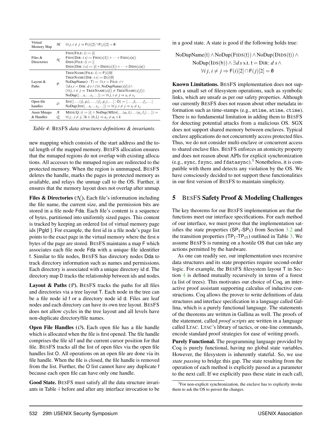<span id="page-10-1"></span>

| Virtual<br>Memory Map     | M         | $\forall i \ j, i \neq j \Rightarrow F(i)[2] \cap F(j)[2] = \emptyset$                                                                                                                                                                                                                                                                                                                                      |
|---------------------------|-----------|-------------------------------------------------------------------------------------------------------------------------------------------------------------------------------------------------------------------------------------------------------------------------------------------------------------------------------------------------------------------------------------------------------------|
| Files $\&$<br>Directories | N.        | $FIDS(FILE: i) := [i]$<br>$FIDS(DIR: i s) := FIDS(s[1]) + \cdots + FIDS(s[n])$<br>$DIDS(FILE: i) := []$<br>$DIDS(DIR: i s) := [i] + DIDS(s[1]) + \cdots + DIDS(s[n])$                                                                                                                                                                                                                                       |
| Layout $\&$<br>Paths      | $\varphi$ | TREENAME(FILE: $i$ ) := F( $i$ )[0]<br>TREENAME(DIR: $i s$ ) := $D(i)[0]$<br>NoDupName $(t : T) := \exists i, t =$ FILE: $i \vee$<br>$\exists ds, t = \text{DIR}: d \ s \wedge (\forall i, \text{NoDupName}(s[i])) \wedge$<br>$(\forall i j, i \neq j \Rightarrow \text{TREENAME}(s[i]) \neq \text{TREENAME}(s[j]))$<br>$\text{NoDup}([s_is_j]) \coloneqq \forall i \ j, i \neq j \Rightarrow s_i \neq s_j$ |
| Open file<br>handles      | $\Omega$  | $\text{IDS}([, (f_i, p_i), , (f_i, p_j), ) : \mathsf{O}) \coloneqq [, f_i, , f_j, ]$<br>NoDup(IDS[ $s_i$ $s_j$ ]) $:= \forall i \ j, i \neq j \Rightarrow s_i \neq s_j$                                                                                                                                                                                                                                     |
| Anon Mmaps<br>& Handles   | я<br>Q.   | $MIDS(Q; i) := [i] \wedge \text{NoDup}(MIDS[\dots (a_i, l_i) \dots (a_i, l_i) \dots]) :=$<br>$\forall i \ j, \ j \neq j, \exists k \in (0, l_i) \Rightarrow a_j \neq a_i + k$                                                                                                                                                                                                                               |

*Table 4:* BESFS *data structures definitions & invariants.*

new mapping which consists of the start address and the total length of the mapped memory. BESFS allocation ensures that the mmaped regions do not overlap with existing allocations. All accesses to the mmaped region are redirected to the protected memory. When the region is unmmaped, BESFS deletes the handle, marks the pages in protected memory as available, and relays the unmap call to the OS. Further, it ensures that the memory layout does not overlap after unmap.

Files & Directories  $(X)$ . Each file's information including the file name, the current size, and the permission bits are stored in a file node Fda. Each file's content is a sequence of bytes, partitioned into uniformly sized pages. This content is tracked by keeping an ordered list of virtual memory page ids [PgId ]. For example, the first id in a file node's page list points to the exact page in the virtual memory where the first *n* bytes of the page are stored. BESFS maintains a map F which associates each file node Fda with a unique file identifier f. Similar to file nodes, BESFS has directory nodes Dda to track directory information such as names and permissions. Each directory is associated with a unique directory id d. The directory map D tracks the relationship between ids and nodes.

Layout & Paths (P). BESFS tracks the paths for all files and directories via a tree layout T. Each node in the tree can be a file node id f or a directory node id d. Files are leaf nodes and each directory can have its own tree layout. BESFS does not allow cycles in the tree layout and all levels have non-duplicate directory/file names.

Open File Handles (*O*). Each open file has a file handle which is allocated when the file is first opened. The file handle comprises the file id f and the current cursor position for that file. BESFS tracks all the list of open files via the open file handles list O. All operations on an open file are done via its file handle. When the file is closed, the file handle is removed from the list. Further, the O list cannot have any duplicate f because each open file can have only one handle.

Good State. BESFS must satisfy all the data structure invariants in Table [4](#page-10-1) before and after any interface invocation to be

in a good state. A state is good if the following holds true:

NoDupName(t) 
$$
\land
$$
 NoDup(FIDS(t))  $\land$  NoDup(DIDS(t))  $\land$   
NoDup(IDs(h))  $\land \exists ds$  s.t. t = DIR:  $ds \land$   
 $\forall i j, i \neq j \Rightarrow F(i)[2] \cap F(j)[2] = 0$ 

Known Limitations. BESFS implementation does not support a small set of filesystem operations, such as symbolic links, which are unsafe as per our safety properties. Although our currently BESFS does not reason about other metadata information such as time-stamps (e.g., mtime, atime, ctime). There is no fundamental limitation in adding them to BESFS for detecting potential attacks from a malicious OS. SGX does not support shared memory between enclaves. Typical enclave applications do not concurrently access protected files. Thus, we do not consider multi-enclave or concurrent access to shared enclave files. BESFS enforces an atomicity property and does not reason about APIs for explicit synchronization (e.g., sync, fsync, and fdatasync).<sup>3</sup> Nonetheless, it is compatible with them and detects any violation by the OS. We have consciously decided to not support these functionalities in our first version of BESFS to maintain simplicity.

# <span id="page-10-0"></span>5 BESFS Safety Proof & Modeling Challenges

The key theorems for our BESFS implementation are that the functions meet our interface specifications. For each method of our interface, we must prove that the implementation satisfies the state properties  $(SP_1-SP_5)$  from Section [3.2](#page-6-0) and the transition properties  $(TP_1-TP_{15})$  outlined in Table [3.](#page-8-0) We assume BESFS is running on a hostile OS that can take any actions permitted by the hardware.

As one can readily see, our implementation uses recursive data structures and its state properties require second-order logic. For example, the BESFS filesystem layout T in Section [4](#page-9-1) is defined mutually recursively in terms of a forest (a list of trees). This motivates our choice of Coq, an interactive proof assistant supporting calculus of inductive constructions. Coq allows the prover to write definitions of data structures and interface specification in a language called Gallina, which is a purely functional language. The statements of the theorems are written in Gallina as well. The proofs of the statement, called *proof scripts* are written in a language called LTAC. LTAC's library of tactics, or one-line commands, encode standard proof strategies for ease of writing proofs.

Purely Functional. The programming language provided by Coq is purely functional, having no global state variables. However, the filesystem is inherently stateful. So, we use *state passing* to bridge this gap. The state resulting from the operation of each method is explicitly passed as a parameter to the next call. If we explicitly pass these state in each call,

<sup>&</sup>lt;sup>3</sup>For non-explicit synchronization, the enclave has to explicitly invoke them to ask the OS to persist the changes.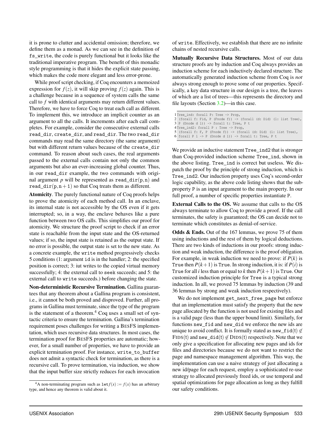it is prone to clutter and accidental omission; therefore, we define them as a monad. As we can see in the definition of fs\_write, the code is purely functional but it looks like the traditional imperative program. The benefit of this monadic style programming is that it hides the explicit state passing, which makes the code more elegant and less error-prone.

While proof script checking, if Coq encounters a memoized expression for  $f(z)$ , it will skip proving  $f(z)$  again. This is a challenge because in a sequence of system calls the same call to *f* with identical arguments may return different values. Therefore, we have to force Coq to treat each call as different. To implement this, we introduce an implicit counter as an argument to all the calls. It increments after each call completes. For example, consider the consecutive external calls read\_dir, create\_dir, and read\_dir. The two read\_dir commands may read the same directory (the same argument) but with different return values because of the create dir command. To reason about such cases, the real arguments passed to the external calls contain not only the common arguments but also an ever-increasing global counter. Thus, in our read\_dir example, the two commands with original argument  $p$  will be represented as read\_dir( $p, n$ ) and read\_dir( $p, n+1$ ) so that Coq treats them as different.

Atomicity. The purely functional nature of Coq proofs helps to prove the atomicity of each method call. In an enclave, its internal state is not accessible by the OS even if it gets interrupted; so, in a way, the enclave behaves like a pure function between two OS calls. This simplifies our proof for atomicity. We structure the proof script to check if an error state is reachable from the input state and the OS-returned values; if so, the input state is retained as the output state. If no error is possible, the output state is set to the new state. As a concrete example, the write method progressively checks 5 conditions (1: argument id is in the handler; 2: the specified position is correct; 3: iut writes to the copied virtual memory successfully; 4: the external call to seek succeeds; and 5: the external call to write succeeds.) before changing the state.

Non-deterministic Recursive Termination. Gallina guarantees that any theorem about a Gallina program is consistent, i.e., it cannot be both proved and disproved. Further, all programs in Gallina must terminate, since the type of the program is the statement of a theorem.<sup>4</sup> Coq uses a small set of syntactic criteria to ensure the termination. Gallina's termination requirement poses challenges for writing a BESFS implementation, which uses recursive data structures. In most cases, the termination proof for BESFS properties are automatic; however, for a small number of properties, we have to provide an explicit termination proof. For instance, write\_to\_buffer does not admit a syntactic check for termination, as there is a recursive call. To prove termination, via induction, we show that the input buffer size strictly reduces for each invocation

of write. Effectively, we establish that there are no infinite chains of nested recursive calls.

Mutually Recursive Data Structures. Most of our data structure proofs are by induction and Coq always provides an induction scheme for each inductively declared structure. The automatically generated induction scheme from Coq is *not* always strong enough to prove some of our properties. Specifically, a key data structure in our design is a tree, the leaves of which are a list of trees—this represents the directory and file layouts (Section [3.2\)](#page-6-0)—in this case.

| 2 (forall f: Fid, P (Fnode f)) $\rightarrow$ (forall (d: Did) (l: list Tree), |
|-------------------------------------------------------------------------------|
|                                                                               |
|                                                                               |
|                                                                               |
|                                                                               |
| 5 (forall f: F, P (Fnode f)) $\rightarrow$ (forall (d: Did) (l: list Tree),   |

We provide an inductive statement Tree ind2 that is stronger than Coq-provided induction scheme Tree\_ind, shown in the above listing. Tree\_ind is correct but useless. We dispatch the proof by the principle of strong induction, which is Tree\_ind2. Our induction property uses Coq's second-order logic capability, as the above code listing shows that the subproperty P is an input argument to the main property. In our full proof, a number of specific properties instantiate P.

External Calls to the OS. We assume that calls to the OS always terminate to allow Coq to provide a proof. If the call terminates, the safety is guaranteed; the OS can decide not to terminate which constitutes as denial-of-service.

Odds & Ends. Out of the 167 lemmas, we prove 75 of them using inductions and the rest of them by logical deductions. There are two kinds of inductions in our proofs: strong induction and weak induction, the difference is the proof obligation. For example, in weak induction we need to prove: if  $P(k)$  is True then  $P(k+1)$  is True. In strong induction, it is: if  $P(i)$  is True for all *i* less than or equal to *k* then  $P(k+1)$  is True. Our customized induction principle for Tree is a typical strong induction. In all, we proved 75 lemmas by induction (39 and 36 lemmas by strong and weak induction respectively).

We do not implement get\_next\_free\_page but enforce that an implementation must satisfy the property that the new page allocated by the function is not used for existing files and is a valid page (less than the upper bound limit). Similarly, for functions new\_fid and new\_did we enforce the new ids are unique to avoid conflict. It is formally stated as new\_fid(t)  $\notin$ FIDS(t) and new\_did(t)  $\notin$  DIDS(t) respectively. Note that we only give a specification for allocating new pages and ids for files and directories because we do not want to restrict the page and namespace management algorithm. This way, the implementation can use a naive strategy of just allocating a new id/page for each request, employ a sophisticated re-use strategy to allocated previously freed ids, or use temporal and spatial optimizations for page allocation as long as they fulfill our safety conditions.

<sup>&</sup>lt;sup>4</sup>A non-terminating program such as  $\text{let } f(x) := f(x)$  has an arbitrary type, and hence any theorem is valid about it.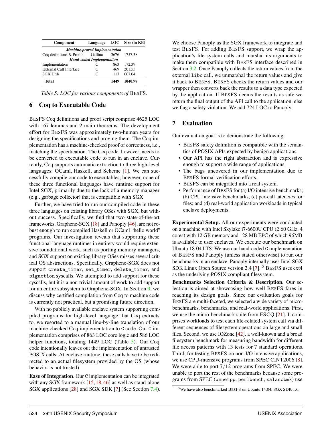<span id="page-12-1"></span>

| Component                            | Language     |      | $LOC$ Size (in KB) |  |  |  |  |  |  |
|--------------------------------------|--------------|------|--------------------|--|--|--|--|--|--|
| <b>Machine-proved Implementation</b> |              |      |                    |  |  |  |  |  |  |
| Coq definitions & Proofs             | Gallina      | 3676 | 1757.38            |  |  |  |  |  |  |
| <b>Hand-coded Implementation</b>     |              |      |                    |  |  |  |  |  |  |
| Implementation                       | C            | 863  | 172.39             |  |  |  |  |  |  |
| <b>External Call Interface</b>       | C            | 469  | 201.55             |  |  |  |  |  |  |
| <b>SGX Utils</b>                     | $\mathsf{C}$ | 117  | 667.04             |  |  |  |  |  |  |
| Total                                |              | 1440 | 1040.98            |  |  |  |  |  |  |

*Table 5: LOC for various components of* BESFS*.*

#### <span id="page-12-2"></span>6 Coq to Executable Code

BESFS Coq definitions and proof script comprise 4625 LOC with 167 lemmas and 2 main theorems. The development effort for BESFS was approximately two-human years for designing the specifications and proving them. The Coq implementation has a machine-checked proof of correctness, i.e., matching the specification. The Coq code, however, needs to be converted to executable code to run in an enclave. Currently, Coq supports automatic extraction to three high-level languages: OCaml, Haskell, and Scheme [\[1\]](#page-17-8). We can successfully compile our code to executables; however, none of these three functional languages have runtime support for Intel SGX, primarily due to the lack of a memory manager (e.g., garbage collector) that is compatible with SGX.

Further, we have tried to run our compiled code in these three languages on existing library OSes with SGX, but without success. Specifically, we find that two state-of-the-art frameworks, Graphene-SGX [\[18\]](#page-18-8) and Panoply [\[46\]](#page-18-9), are not robust enough to run compiled Haskell or OCaml "hello world" programs. Our investigation reveals that supporting these functional language runtimes in entirety would require extensive foundational work, such as porting memory managers, and SGX support on existing library OSes misses several critical OS abstractions. Specifically, Graphene-SGX does not support create timer, set timer, delete timer, and sigaction syscalls. We attempted to add support for these syscalls, but it is a non-trivial amount of work to add support for an entire subsystem to Graphene-SGX. In Section [9,](#page-16-0) we discuss why certified compilation from Coq to machine code is currently not practical, but a promising future direction.

With no publicly available enclave system supporting compiled programs for high-level language that Coq extracts to, we resorted to a manual line-by-line translation of our machine-checked Coq implementation to C code. Our C implementation comprises of 863 LOC core logic and 586 LOC helper functions, totaling 1449 LOC (Table [5\)](#page-12-1). Our Coq code intentionally leaves out the implementation of untrusted POSIX calls. At enclave runtime, these calls have to be redirected to an actual filesystem provided by the OS (whose behavior is not trusted).

Ease of Integration. Our C implementation can be integrated with any SGX framework [\[15,](#page-17-0) [18,](#page-18-8) [46\]](#page-18-9) as well as stand-alone SGX applications [\[28\]](#page-18-23) and SGX SDK [\[7\]](#page-17-9) (See Section [7.4\)](#page-15-0). We choose Panoply as the SGX framework to integrate and test BESFS. For adding BESFS support, we wrap the application's file system calls and marshal its arguments to make them compatible with BESFS interface described in Section [3.2.](#page-6-0) Once Panoply collects the return values from the external libc call, we unmarshal the return values and give it back to BESFS. BESFS checks the return values and our wrapper then converts back the results to a data type expected by the application. If BESFS deems the results as safe we return the final output of the API call to the application, else we flag a safety violation. We add 724 LOC to Panoply.

#### <span id="page-12-0"></span>7 Evaluation

Our evaluation goal is to demonstrate the following:

- BESFS safety definition is compatible with the semantics of POSIX APIs expected by benign applications.
- Our API has the right abstraction and is expressive enough to support a wide range of applications.
- The bugs uncovered in our implementation due to BESFS formal verification efforts.
- BESFS can be integrated into a real system.
- Performance of BESFS for (a) I/O intensive benchmarks; (b) CPU intensive benchmarks; (c) per-call latencies for files; and (d) real-world application workloads in typical enclave deployments.

Experimental Setup. All our experiments were conducted on a machine with Intel Skylake i7-6600U CPU (2.60 GHz, 4 cores) with 12 GB memory and 128 MB EPC of which 96MB is available to user enclaves. We execute our benchmark on Ubuntu 18.04 LTS. We use our hand-coded C implementation of BESFS and Panoply (unless stated otherwise) to run our benchmarks in an enclave. Panoply internally uses Intel SGX SDK Linux Open Source version 2.4 [\[7\]](#page-17-9).<sup>5</sup> BESFS uses ext4 as the underlying POSIX compliant filesystem.

Benchmarks Selection Criteria & Description. Our selection is aimed at showcasing how well BESFS fares in reaching its design goals. Since our evaluation goals for BESFS are multi-faceted, we selected a wide variety of microbenchmarks, benchmarks, and real-world applications. First, we use the micro-benchmark suite from FSCQ [\[21\]](#page-18-21). It comprises workloads to test each file-related system call via different sequences of filesystem operations on large and small files. Second, we use IOZone [\[42\]](#page-18-24), a well-known and a broad filesystem benchmark for measuring bandwidth for different file access patterns with 13 tests for 7 standard operations. Third, for testing BESFS on non-I/O intensive applications, we use CPU-intensive programs from SPEC CINT2006 [\[8\]](#page-17-10). We were able to port  $7/12$  programs from SPEC. We were unable to port the rest of the benchmarks because some programs from SPEC (omnetpp, perlbench, xalancbmk) use

<sup>5</sup>We have also benchmarked BESFS on Ubuntu 14.04, SGX SDK 1.6.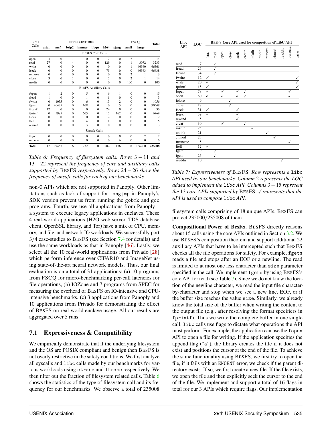<span id="page-13-0"></span>

| LibC         |                | <b>SPEC CINT 2006</b> |                |          |                              |                |                |                | <b>FSCQ</b>    |                |
|--------------|----------------|-----------------------|----------------|----------|------------------------------|----------------|----------------|----------------|----------------|----------------|
| Calls        | astar          | mcf                   | bzip2          | hmmer    | libqu                        | h264           | sjeng          | small          | large          | <b>Total</b>   |
|              |                |                       |                |          | <b>BESFS</b> Core Calls      |                |                |                |                |                |
| open         | 3              | $\theta$              | 1              | $\Omega$ | $\Omega$                     | 7              | $\theta$       | $\overline{c}$ | 1              | 14             |
| read         | 27             | $\Omega$              | $\overline{4}$ | $\Omega$ | $\Omega$                     | 129            | $\overline{0}$ | 1              | 3072           | 3233           |
| write        | $\Omega$       | $\Omega$              | $\Omega$       | $\Omega$ | $\Omega$                     | $\mathbf{0}$   | $\overline{0}$ | 1              | 66560          | 66561          |
| <b>lseek</b> | $\Omega$       | $\Omega$              | $\Omega$       | $\Omega$ | $\Omega$                     | 75             | $\Omega$       | $\Omega$       | 66563          | 66638          |
| remove       | $\Omega$       | $\Omega$              | $\Omega$       | $\Omega$ | $\Omega$                     | $\Omega$       | $\theta$       | 2              | 1              | 3              |
| close        | 3              | $\theta$              | 1              | $\Omega$ | $\theta$                     | $\overline{7}$ | $\theta$       | $\overline{c}$ | 1              | 14             |
| mkdir        | $\overline{0}$ | $\mathbf{0}$          | $\mathbf{0}$   | $\Omega$ | $\theta$                     | $\Omega$       | $\mathbf{0}$   | 100            | $\mathbf{0}$   | 100            |
|              |                |                       |                |          | <b>BESFS Auxiliary Calls</b> |                |                |                |                |                |
| fopen        | 1              | $\overline{2}$        | $\mathbf{0}$   | 5        | $\Omega$                     | 6              | 1              | $\mathbf{0}$   | $\mathbf{0}$   | 15             |
| fread        |                | $\theta$              | $\Omega$       | 1        | $\theta$                     | 1              | $\overline{0}$ | $\overline{0}$ | $\mathbf{0}$   | 3              |
| fwrite       | $\Omega$       | 1035                  | $\Omega$       | 6        | $\Omega$                     | 13             | $\overline{c}$ | $\Omega$       | $\Omega$       | 1056           |
| fgets        | $\Omega$       | 90435                 | $\Omega$       | 108      | $\theta$                     | $\Omega$       | 5              | $\theta$       | $\Omega$       | 90548          |
| fscanf       | 12             | $\overline{0}$        | $\Omega$       | $\Omega$ | $\theta$                     | 24             | $\theta$       | $\overline{0}$ | $\mathbf{0}$   | 36             |
| fprintf      | $\Omega$       | 5985                  | $\Omega$       | 605      | $\Omega$                     | 17             | 162            | $\overline{0}$ | $\mathbf{0}$   | 6769           |
| fseek        | $\Omega$       | $\Omega$              | $\Omega$       | $\Omega$ | $\Omega$                     | $\overline{c}$ | $\Omega$       | $\theta$       | $\Omega$       | $\overline{c}$ |
| ftell        | $\Omega$       | $\theta$              | $\Omega$       | 4        | $\Omega$                     | 1              | $\overline{0}$ | $\overline{0}$ | $\mathbf{0}$   | 5              |
| rewind       | $\mathbf{0}$   | $\overline{0}$        | $\Omega$       | 3        | $\theta$                     | $\Omega$       | $\overline{0}$ | $\mathbf{0}$   | $\mathbf{0}$   | 3              |
|              |                |                       |                |          | <b>Unsafe Calls</b>          |                |                |                |                |                |
| fsync        | $\Omega$       | $\overline{0}$        | $\Omega$       | $\Omega$ | $\Omega$                     | $\Omega$       | $\theta$       | $\mathbf{0}$   | $\overline{2}$ | $\overline{c}$ |
| rename       | $\mathbf{0}$   | $\overline{0}$        | $\Omega$       | $\Omega$ | $\overline{0}$               | $\mathbf{0}$   | 6              | $\overline{0}$ | $\mathbf{0}$   | 6              |
| <b>Total</b> | 47             | 97457                 | 6              | 732      | $\Omega$                     | 282            | 176            | 108            | 136200         | 235008         |

*Table 6: Frequency of filesystem calls. Rows* 3 − 11 *and* 13 −22 *represent the frequency of core and auxiliary calls supported by* BESFS *respectively. Rows* 24 − 26 *show the frequency of unsafe calls for each of our benchmarks.*

non-C APIs which are not supported in Panoply. Other limitations such as lack of support for longjmp in Panoply's SDK version prevent us from running the gobmk and gcc programs. Fourth, we use all applications from Panoply a system to execute legacy applications in enclaves. These 4 real-world applications (H2O web server, TDS database client, OpenSSL library, and Tor) have a mix of CPU, memory, and file, and network IO workloads. We successfully port 3/4 case-studies to BESFS (see Section [7.4](#page-15-0) for details) and use the same workloads as that in Panoply [\[46\]](#page-18-9). Lastly, we select all the 10 real-world applications from Privado [\[28\]](#page-18-23) which perform inference over CIFAR10 and ImageNet using state-of-the-art neural network models. Thus, our final evaluation is on a total of 31 applications: (a) 10 programs from FSCQ for micro-benchmarking per-call latencies for file operations, (b) IOZone and 7 programs from SPEC for measuring the overhead of BESFS on IO-intensive and CPUintensive benchmarks. (c) 3 applications from Panoply and 10 applications from Privado for demonstrating the effect of BESFS on real-world enclave usage. All our results are aggregated over 5 runs.

# 7.1 Expressiveness & Compatibility

We empirically demonstrate that if the underlying filesystem and the OS are POSIX compliant and benign then BESFS is not overly restrictive in the safety conditions. We first analyze all syscalls and libc calls made by our benchmarks for various workloads using strace and ltrace respectively. We then filter out the fraction of filesystem related calls. Table [6](#page-13-0) shows the statistics of the type of filesystem call and its frequency for our benchmarks. We observe a total of 235008

<span id="page-13-1"></span>

*Table 7: Expressiveness of* BESFS*. Row represents a* libc *API used by our benchmarks. Column* 2 *represents the LOC added to implement the* libc *API. Columns* 3−15 *represent the* 13 *core APIs supported by BESFS. √ represents that the API is used to compose* libc *API.*

filesystem calls comprising of 18 unique APIs. BESFS can protect 235000/235008 of them.

Compositional Power of BesFS. BESFS directly reasons about 15 calls using the core APIs outlined in Section [3.2.](#page-6-0) We use BESFS's composition theorem and support additional 22 auxiliary APIs that have to be intercepted such that BESFS checks all the file operations for safety. For example, fgets reads a file and stops after an EOF or a newline. The read is limited to at most one less character than size parameter specified in the call. We implement fgets by using BESFS's core API for read (see Table [7\)](#page-13-1). Since we do not know the location of the newline character, we read the input file characterby-character and stop when we see a new line, EOF, or if the buffer size reaches the value size. Similarly, we already know the total size of the buffer when writing the content to the output file (e.g., after resolving the format specifiers in fprintf). Thus we write the complete buffer in one single call. libc calls use flags to dictate what operations the API must perform. For example, the application can use the fopen API to open a file for writing. If the application specifies the append flag ("a"), the library creates the file if it does not exist and positions the cursor at the end of the file. To achieve the same functionality using BESFS, we first try to open the file, if it fails with an ENOENT error, we check if the parent directory exists. If so, we first create a new file. If the file exists, we open the file and then explicitly seek the cursor to the end of the file. We implement and support a total of 16 flags in total for our 3 APIs which require flags. Our implementation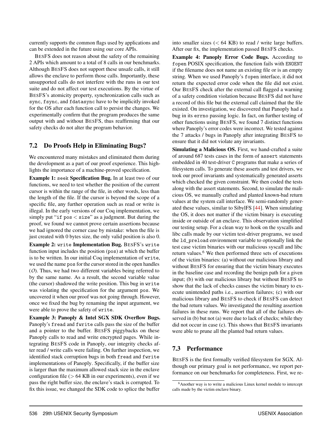currently supports the common flags used by applications and can be extended in the future using our core APIs.

BESFS does not reason about the safety of the remaining 2 APIs which amount to a total of 8 calls in our benchmarks. Although BESFS does not support these unsafe calls, it still allows the enclave to perform those calls. Importantly, these unsupported calls do not interfere with the runs in our test suite and do not affect our test executions. By the virtue of BESFS's atomicity property, synchronization calls such as sync, fsync, and fdatasync have to be implicitly invoked for the OS after each function call to persist the changes. We experimentally confirm that the program produces the same output with and without BESFS, thus reaffirming that our safety checks do not alter the program behavior.

### 7.2 Do Proofs Help in Eliminating Bugs?

We encountered many mistakes and eliminated them during the development as a part of our proof experience. This highlights the importance of a machine-proved specification.

Example 1: seek Specification Bug. In at least two of our functions, we need to test whether the position of the current cursor is within the range of the file, in other words, less than the length of the file. If the cursor is beyond the scope of a specific file, any further operation such as read or write is illegal. In the early versions of our Coq implementation, we simply put "if pos < size" as a judgment. But during the proof, we found we cannot prove certain assertions because we had ignored the corner case by mistake: when the file is just created with 0 bytes size, the only valid position is also 0.

Example 2: write Implementation Bug. BESFS's write function input includes the position (pos) at which the buffer is to be written. In our initial Coq implementation of write, we used the name pos for the cursor stored in the open handles (*O*). Thus, we had two different variables being referred to by the same name. As a result, the second variable value (the cursor) shadowed the write position. This bug in write was violating the specification for the argument pos. We uncovered it when our proof was not going through. However, once we fixed the bug by renaming the input argument, we were able to prove the safety of write.

Example 3: Panoply & Intel SGX SDK Overflow Bugs. Panoply's fread and fwrite calls pass the size of the buffer and a pointer to the buffer. BESFS piggybacks on these Panoply calls to read and write encrypted pages. While integrating BESFS code in Panoply, our integrity checks after read / write calls were failing. On further inspection, we identified stack corruption bugs in both fread and fwrite implementations of Panoply. Specifically, if the buffer size is larger than the maximum allowed stack size in the enclave configuration file ( $> 64$  KB in our experiments), even if we pass the right buffer size, the enclave's stack is corrupted. To fix this issue, we changed the SDK code to splice the buffer

into smaller sizes  $(< 64 \text{ KB})$  to read / write large buffers. After our fix, the implementation passed BESFS checks.

Example 4: Panoply Error Code Bugs. According to fopen POSIX specification, the function fails with ENOENT if the filename does not name an existing file or is an empty string. When we used Panoply's fopen interface, it did not return the expected error code when the file did not exist. Our BESFS check after the external call flagged a warning of a safety condition violation because BESFS did not have a record of this file but the external call claimed that the file existed. On investigation, we discovered that Panoply had a bug in its errno passing logic. In fact, on further testing of other functions using BESFS, we found 7 distinct functions where Panoply's error codes were incorrect. We tested against the 7 attacks / bugs in Panoply after integrating BESFS to ensure that it did not violate any invariants.

Simulating a Malicious OS. First, we hand-crafted a suite of around 687 tests cases in the form of assert statements embedded in 40 test-driver C programs that make a series of filesystem calls. To generate these asserts and test drivers, we took our proof invariants and systematically generated asserts which checked the given constraint. We then coded the tests along with the assert statements. Second, to simulate the malicious OS, we manually crafted and planted known-bad return values at the system call interface. We semi-randomly generated these values, similar to SibylFS [\[44\]](#page-18-15). When simulating the OS, it does not matter if the victim binary is executing inside or outside of an enclave. This observation simplified our testing setup. For a clean way to hook on the syscalls and libc calls made by our victim test-driver programs, we used the ld\_preload environment variable to optionally link the test case victim binaries with our malicious syscall and libc return values.<sup>6</sup> We then performed three sets of executions of the victim binaries: (a) without our malicious library and without BESFS for ensuring that the victim binary executes in the baseline case and recording the benign path for a given input; (b) with our malicious library but without BESFS to show that the lack of checks causes the victim binary to execute unintended paths i.e., assertion failures; (c) with our malicious library and BESFS to check if BESFS can detect the bad return values. We investigated the resulting assertion failures in these runs. We report that all of the failures observed in (b) but not (a) were due to lack of checks; while they did not occur in case (c). This shows that BESFS invariants were able to prune all the planted bad return values.

# 7.3 Performance

BESFS is the first formally verified filesystem for SGX. Although our primary goal is not performance, we report performance on our benchmarks for completeness. First, we re-

<sup>&</sup>lt;sup>6</sup>Another way is to write a malicious Linux kernel module to intercept calls made by the victim enclave binary.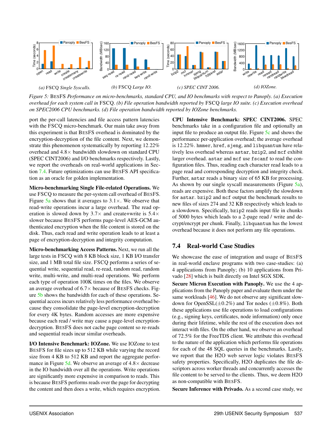<span id="page-15-1"></span>

*Figure 5:* BESFS *Performance on micro-benchmarks, standard CPU, and IO benchmarks with respect to Panoply. (a) Execution overhead for each system call in* FSCQ*. (b) File operation bandwidth reported by* FSCQ *large IO suite. (c) Execution overhead on SPEC2006 CPU benchmarks. (d) File operation bandwidth reported by IOZone benchmarks.*

port the per-call latencies and file access pattern latencies with the FSCQ micro-benchmark. Our main take away from this experiment is that BESFS overhead is dominated by the encryption-decryption of the file content. Next, we demonstrate this phenomenon systematically by reporting 12.22% overhead and 4.8× bandwidth slowdown on standard CPU (SPEC CINT2006) and I/O benchmarks respectively. Lastly, we report the overheads on real-world applications in Section [7.4.](#page-15-0) Future optimizations can use BESFS API specification as an oracle for golden implementation.

Micro-benchmarking Single File-related Operations. We use FSCQ to measure the per-system call overhead of BESFS. Figure  $5a$  shows that it averages to  $3.1 \times$ . We observe that read-write operations incur a large overhead. The read operation is slowed down by  $3.7\times$  and create+write is  $5.4\times$ slower because BESFS performs page-level AES-GCM authenticated encryption when the file content is stored on the disk. Thus, each read and write operation leads to at least a page of encryption-decryption and integrity computation.

Micro-benchmarking Access Patterns. Next, we run all the large tests in FSCQ with 8 KB block size, 1 KB I/O transfer size, and 1 MB total file size. FSCQ performs a series of sequential write, sequential read, re-read, random read, random write, multi-write, and multi-read operations. We perform each type of operation 100K times on the files. We observe an average overhead of  $6.7\times$  because of BESFS checks. Figure [5b](#page-15-1) shows the bandwidth for each of these operations. Sequential access incurs relatively less performance overhead because they consolidate the page-level encryption-decryption for every 4K bytes. Random accesses are more expensive because each read / write may cause a page-level encryptiondecryption. BESFS does not cache page content so re-reads and sequential reads incur similar overheads.

I/O Intensive Benchmark: IOZone. We use IOZone to test BESFS for file sizes up to 512 KB while varying the record size from 4 KB to 512 KB and report the aggregate performance in Figure  $5d$ . We observe an average of  $4.8 \times$  decrease in the IO bandwidth over all the operations. Write operations are significantly more expensive in comparison to reads. This is because BESFS performs reads over the page for decrypting the content and then does a write, which requires encryption. CPU Intensive Benchmark: SPEC CINT2006. SPEC benchmarks take in a configuration file and optionally an input file to produce an output file. Figure [5c](#page-15-1) and shows the performance per-application overhead; the average overhead is 12.22%. hmmer, href, sjeng, and libquantum have relatively less overhead whereas astar, bzip2, and mcf exhibit larger overhead. astar and mcf use fscanf to read the configuration files. Thus, reading each character read leads to a page read and corresponding decryption and integrity check. Further, astar reads a binary size of 65 KB for processing. As shown by our single syscall measurements (Figure [5a\)](#page-15-1), reads are expensive. Both these factors amplify the slowdown for astar. bzip2 and mcf output the benchmark results to new files of sizes 274 and 32 KB respectively which leads to a slowdown. Specifically, bzip2 reads input file in chunks of 5000 bytes which leads to a 2-page read / write and decrypt/encrypt per chunk. Finally, libquantum has the lowest overhead because it does not perform any file operations.

# <span id="page-15-0"></span>7.4 Real-world Case Studies

We showcase the ease of integration and usage of BESFS in real-world enclave programs with two case-studies: (a) 4 applications from Panoply; (b) 10 applications from Privado [\[28\]](#page-18-23) which is built directly on Intel SGX SDK.

Secure Micron Execution with Panoply. We use the 4 applications from the Panoply paper and evaluate them under the same workloads [\[46\]](#page-18-9). We do not observe any significant slowdown for OpenSSL $(\pm 0.2\%)$  and Tor nodes  $(\pm 0.8\%)$ . Both these applications use file operations to load configurations (e.g., signing keys, certificates, node information) only once during their lifetime, while the rest of the execution does not interact with files. On the other hand, we observe an overhead of 72.5% for the FreeTDS client. We attribute this overhead to the nature of the application which performs file operations for each of the 48 SQL queries in the benchmarks. Lastly, we report that the H2O web server logic violates BESFS safety properties. Specifically, H2O duplicates the file descriptors across worker threads and concurrently accesses the file content to be served to the clients. Thus, we deem H2O as non-compatible with BESFS.

Secure Inference with Privado. As a second case study, we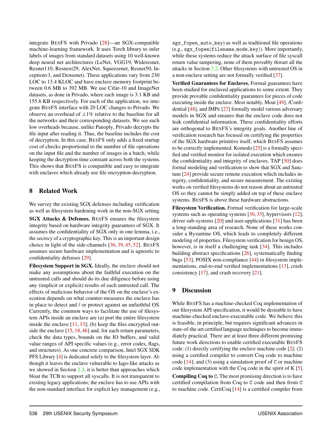integrate BESFS with Privado [\[28\]](#page-18-23)—an SGX-compatible machine-learning framework. It uses Torch library to infer labels of images from standard datasets using 10 well-known deep neural net architectures (LeNet, VGG19, Wideresnet, Resnet110, Resnext29, AlexNet, Squeezenet, Resnet50, Inceptionv3, and Densenet). These applications vary from 230 LOC to 13.4 KLOC and have enclave memory footprint between 0.6 MB to 392 MB. We use Cifar-10 and ImageNet datasets, as done in Privado, where each image is 3.1 KB and 155.6 KB respectively. For each of the application, we integrate BESFS interface with 20 LOC changes to Privado. We observe an overhead of  $\pm 1\%$  relative to the baseline for all the networks and their corresponding datasets. We see such low overheads because, unlike Panoply, Privado decrypts the file input after reading it. Thus, the baseline includes the cost of decryption. In this case, BESFS only adds a fixed startup cost of checks proportional to the number of file operations on the input file and the number of images in a batch, while keeping the decryption time constant across both the systems. This shows that BESFS is compatible and easy to integrate with enclaves which already use file encryption-decryption.

### 8 Related Work

We survey the existing SGX defenses including verification as well as filesystem hardening work in the non-SGX setting.

SGX Attacks & Defenses. BESFS ensures the filesystem integrity based on hardware integrity guarantees of SGX. It assumes the confidentiality of SGX only in one lemma, i.e., the secrecy of a cryptographic key. This is an important design choice in light of the side-channels [\[36,](#page-18-17) [39,](#page-18-25) [45,](#page-18-26) [52\]](#page-18-18). BESFS assumes secure hardware implementation and is agnostic to confidentiality defenses [\[29\]](#page-18-27).

Filesystem Support in SGX. Ideally, the enclave should not make any assumptions about the faithful execution on the untrusted calls and should do its due diligence before using any (implicit or explicit) results of each untrusted call. The effects of malicious behavior of the OS on the enclave's execution depends on what counter-measures the enclave has in place to detect and / or protect against an unfaithful OS. Currently, the common ways to facilitate the use of filesystem APIs inside an enclave are (a) port the entire filesystem inside the enclave  $[11, 33]$  $[11, 33]$  $[11, 33]$ ; (b) keep the files encrypted out-side the enclave [\[15,](#page-17-0) [18,](#page-18-8) [46\]](#page-18-9) and, for each return parameters, check the data types, bounds on the IO buffers, and valid value ranges of API specific values (e.g., error codes, flags, and structures). As one concrete comparison, Intel SGX SDK PFS Library [\[4\]](#page-17-4) is dedicated solely to the filesystem layer. Although it leaves the enclave vulnerable to Iago-like attacks as we showed in Section [2.3,](#page-3-1) it is better than approaches which bloat the TCB to support all syscalls. It is not transparent to existing legacy applications; the enclave has to use APIs with the non-standard interface for explicit key management (e.g., sgx fopen auto key) as well as traditional file operations (e.g., sgx\_fopen(filename,mode,key)). More importantly, while these systems reduce the attack surface of file syscall return value tampering, none of them provably thwart all the attacks in Section [2.2.](#page-3-3) Other filesystems with untrusted OS in a non-enclave setting are not formally verified [\[37\]](#page-18-16).

Verified Guarantees for Enclaves. Formal guarantees have been studied for enclaved applications to some extent. They provide provable confidentiality guarantees for pieces of code executing inside the enclave. Most notably, Moat [\[49\]](#page-18-7), /Confidential [\[48\]](#page-18-6), and IMPe [\[27\]](#page-18-19) formally model various adversary models in SGX and ensures that the enclave code does not leak confidential information. These confidentiality efforts are orthogonal to BESFS's integrity goals. Another line of verification research has focused on certifying the properties of the SGX hardware primitive itself, which BESFS assumes to be correctly implemented. Komodo [\[25\]](#page-18-3) is a formally specified and verified monitor for isolated execution which ensures the confidentiality and integrity of enclaves. TAP [\[50\]](#page-18-5) does formal modeling and verification to show that SGX and Sanctum [\[24\]](#page-18-1) provide secure remote execution which includes integrity, confidentiality, and secure measurement. The existing works on verified filesystems do not reason about an untrusted OS so they cannot be simply added on top of these enclave systems. BESFS is above these hardware abstractions.

Filesystem Verification. Formal verification for large-scale systems such as operating systems [\[30,](#page-18-29) [35\]](#page-18-30), hypervisors [\[12\]](#page-17-12), driver sub-systems [\[20\]](#page-18-31) and user-applications [\[31\]](#page-18-32) has been a long-standing area of research. None of these works consider a Byzantine OS, which leads to completely different modeling of properties. Filesystem verification for benign OS, however, is in itself a challenging task [\[34\]](#page-18-20). This includes building abstract specifications [\[26\]](#page-18-33), systematically finding bugs [\[53\]](#page-18-34), POSIX non-compliance [\[44\]](#page-18-15) in filesystem implementations, end-to-end verified implementations [\[13\]](#page-17-6), crash consistency [\[17\]](#page-17-13), and crash recovery [\[21\]](#page-18-21).

#### <span id="page-16-0"></span>9 Discussion

While BESFS has a machine-checked Coq implementation of our filesystem API specification, it would be desirable to have machine-checked enclave-executable code. We believe this is feasible, in principle, but requires significant advances in state-of-the-art certified language techniques to become immediately practical. There are at least three different promising future work directions to enable certified executable BESFS code: (1) directly certifying the enclave machine code [\[2\]](#page-17-14); (2) using a certified compiler to convert Coq code to machine code  $[14]$ ; and (3) using a simulation proof of C or machine code implementation with the Coq code in the spirit of K [\[5\]](#page-17-16). Compiling Coq to C. The most promising direction is to have certified compilation from Coq to C code and then from C to machine code. CertiCoq [\[14\]](#page-17-15) is a certified compiler from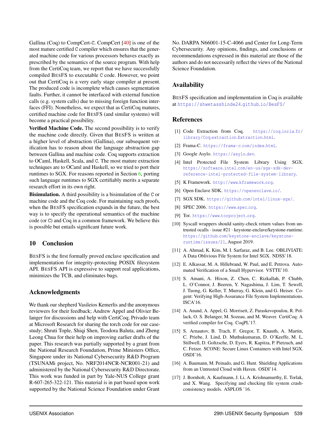Gallina (Coq) to CompCert-C. CompCert [\[40\]](#page-18-35) is one of the most mature certified C compiler which ensures that the generated machine code for various processors behaves exactly as prescribed by the semantics of the source program. With help from the CertiCoq team, we report that we have successfully compiled BESFS to executable C code. However, we point out that CertiCoq is a very early stage compiler at present. The produced code is incomplete which causes segmentation faults. Further, it cannot be interfaced with external function calls (e.g. system calls) due to missing foreign function interfaces (FFI). Nonetheless, we expect that as CertiCoq matures, certified machine code for BESFS (and similar systems) will become a practical possibility.

Verified Machine Code. The second possibility is to verify the machine code directly. Given that BESFS is written at a higher level of abstraction (Gallina), our subsequent verification has to reason about the language abstraction gap between Gallina and machine code. Coq supports extraction to OCaml, Haskell, Scala, and C. The most mature extraction techniques are to OCaml and Haskell, so we tried to port their runtimes to SGX. For reasons reported in Section [6,](#page-12-2) porting such language runtimes to SGX certifiably merits a separate research effort in its own right.

Bisimulation. A third possibility is a bisimulation of the C or machine code and the Coq code. For maintaining such proofs, when the BESFS specification expands in the future, the best way is to specify the operational semantics of the machine code (or C) and Coq in a common framework. We believe this is possible but entails significant future work.

# 10 Conclusion

BESFS is the first formally proved enclave specification and implementation for integrity-protecting POSIX filesystem API. BESFS API is expressive to support real applications, minimizes the TCB, and eliminates bugs.

#### Acknowledgments

We thank our shepherd Vasileios Kemerlis and the anonymous reviewers for their feedback; Andrew Appel and Olivier Belanger for discussions and help with CertiCoq; Privado team at Microsoft Research for sharing the torch code for our casestudy; Shruti Tople, Shiqi Shen, Teodora Baluta, and Zheng Leong Chua for their help on improving earlier drafts of the paper. This research was partially supported by a grant from the National Research Foundation, Prime Ministers Office, Singapore under its National Cybersecurity R&D Program (TSUNAMi project, No. NRF2014NCR-NCR001-21) and administered by the National Cybersecurity R&D Directorate. This work was funded in part by Yale-NUS College grant R-607-265-322-121. This material is in part based upon work supported by the National Science Foundation under Grant

No. DARPA N66001-15-C-4066 and Center for Long-Term Cybersecurity. Any opinions, findings, and conclusions or recommendations expressed in this material are those of the authors and do not necessarily reflect the views of the National Science Foundation.

# Availability

BESFS specification and implementation in Coq is available at [https://shwetasshinde24](https://shwetasshinde24.github.io/BesFS/).github.io/BesFS/

# References

- <span id="page-17-8"></span>[1] Code Extraction from Coq. [https://coq](https://coq.inria.fr/library/Coq.extraction.Extraction.html).inria.fr/ [library/Coq](https://coq.inria.fr/library/Coq.extraction.Extraction.html).extraction.Extraction.html.
- <span id="page-17-14"></span>[2] Frama-C. [https://frama-c](https://frama-c.com/index.html).com/index.html.
- <span id="page-17-2"></span>[3] Google Asylo. [https://asylo](https://asylo.dev).dev.
- <span id="page-17-4"></span>[4] Intel Protected File System Library Using SGX. https://software.intel.[com/en-us/sgx-sdk-dev](https://software.intel.com/en-us/sgx-sdk-dev-reference-intel-protected-file-system-library)[reference-intel-protected-file-system-library](https://software.intel.com/en-us/sgx-sdk-dev-reference-intel-protected-file-system-library).
- <span id="page-17-16"></span>[5] K Framework. [http://www](http://www.kframework.org).kframework.org.
- <span id="page-17-3"></span>[6] Open Enclave SDK. [https://openenclave](https://openenclave.io/).io/.
- <span id="page-17-9"></span>[7] SGX SDK. https://github.[com/intel/linux-sgx/](https://github.com/intel/linux-sgx/).
- <span id="page-17-10"></span>[8] SPEC 2006. [https://www](https://www.spec.org).spec.org.
- <span id="page-17-7"></span>[9] Tor. [https://www](https://www.torproject.org).torproject.org.
- <span id="page-17-5"></span>[10] Syscall wrappers should sanity-check return values from untrusted ocalls · issue #21 · keystone-enclave/keystone-runtime. https://github.[com/keystone-enclave/keystone](https://github.com/keystone-enclave/keystone-runtime/issues/21)[runtime/issues/21](https://github.com/keystone-enclave/keystone-runtime/issues/21), August 2019.
- <span id="page-17-11"></span>[11] A. Ahmad, K. Kim, M. I. Sarfaraz, and B. Lee. OBLIVIATE: A Data Oblivious File System for Intel SGX. NDSS'18.
- <span id="page-17-12"></span>[12] E. Alkassar, M. A. Hillebrand, W. Paul, and E. Petrova. Automated Verification of a Small Hypervisor. VSTTE'10.
- <span id="page-17-6"></span>[13] S. Amani, A. Hixon, Z. Chen, C. Rizkallah, P. Chubb, L. O'Connor, J. Beeren, Y. Nagashima, J. Lim, T. Sewell, J. Tuong, G. Keller, T. Murray, G. Klein, and G. Heiser. Cogent: Verifying High-Assurance File System Implementations. ISCA'16.
- <span id="page-17-15"></span>[14] A. Anand, A. Appel, G. Morrisett, Z. Paraskevopoulou, R. Pollack, O. S. Belanger, M. Sozeau, and M. Weaver. CertiCoq: A verified compiler for Coq. CoqPL'17.
- <span id="page-17-0"></span>[15] S. Arnautov, B. Trach, F. Gregor, T. Knauth, A. Martin, C. Priebe, J. Lind, D. Muthukumaran, D. O'Keeffe, M. L. Stillwell, D. Goltzsche, D. Eyers, R. Kapitza, P. Pietzuch, and C. Fetzer. SCONE: Secure Linux Containers with Intel SGX. OSDI'16.
- <span id="page-17-1"></span>[16] A. Baumann, M. Peinado, and G. Hunt. Shielding Applications from an Untrusted Cloud with Haven. OSDI'14.
- <span id="page-17-13"></span>[17] J. Bornholt, A. Kaufmann, J. Li, A. Krishnamurthy, E. Torlak, and X. Wang. Specifying and checking file system crashconsistency models. ASPLOS '16.